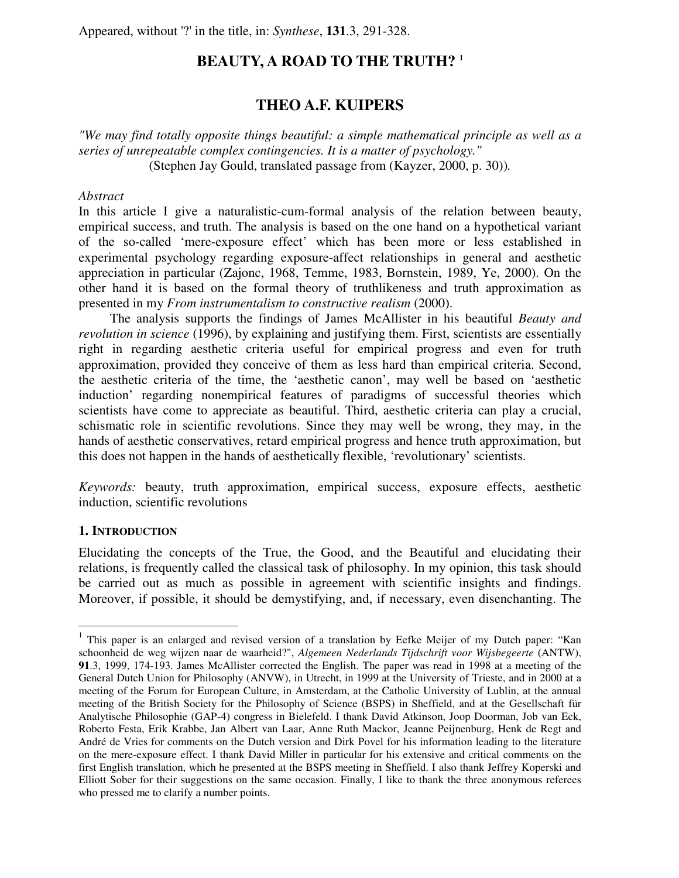Appeared, without '?' in the title, in: *Synthese*, **131**.3, 291-328.

# **BEAUTY, A ROAD TO THE TRUTH? 1**

# **THEO A.F. KUIPERS**

*"We may find totally opposite things beautiful: a simple mathematical principle as well as a series of unrepeatable complex contingencies. It is a matter of psychology."* (Stephen Jay Gould, translated passage from (Kayzer, 2000, p. 30))*.*

# *Abstract*

In this article I give a naturalistic-cum-formal analysis of the relation between beauty, empirical success, and truth. The analysis is based on the one hand on a hypothetical variant of the so-called 'mere-exposure effect' which has been more or less established in experimental psychology regarding exposure-affect relationships in general and aesthetic appreciation in particular (Zajonc, 1968, Temme, 1983, Bornstein, 1989, Ye, 2000). On the other hand it is based on the formal theory of truthlikeness and truth approximation as presented in my *From instrumentalism to constructive realism* (2000).

The analysis supports the findings of James McAllister in his beautiful *Beauty and revolution in science* (1996), by explaining and justifying them. First, scientists are essentially right in regarding aesthetic criteria useful for empirical progress and even for truth approximation, provided they conceive of them as less hard than empirical criteria. Second, the aesthetic criteria of the time, the 'aesthetic canon', may well be based on 'aesthetic induction' regarding nonempirical features of paradigms of successful theories which scientists have come to appreciate as beautiful. Third, aesthetic criteria can play a crucial, schismatic role in scientific revolutions. Since they may well be wrong, they may, in the hands of aesthetic conservatives, retard empirical progress and hence truth approximation, but this does not happen in the hands of aesthetically flexible, 'revolutionary' scientists.

*Keywords:* beauty, truth approximation, empirical success, exposure effects, aesthetic induction, scientific revolutions

# **1. INTRODUCTION**

Elucidating the concepts of the True, the Good, and the Beautiful and elucidating their relations, is frequently called the classical task of philosophy. In my opinion, this task should be carried out as much as possible in agreement with scientific insights and findings. Moreover, if possible, it should be demystifying, and, if necessary, even disenchanting. The

<sup>&</sup>lt;sup>1</sup> This paper is an enlarged and revised version of a translation by Eefke Meijer of my Dutch paper: "Kan schoonheid de weg wijzen naar de waarheid?", *Algemeen Nederlands Tijdschrift voor Wijsbegeerte* (ANTW), **91**.3, 1999, 174-193. James McAllister corrected the English. The paper was read in 1998 at a meeting of the General Dutch Union for Philosophy (ANVW), in Utrecht, in 1999 at the University of Trieste, and in 2000 at a meeting of the Forum for European Culture, in Amsterdam, at the Catholic University of Lublin, at the annual meeting of the British Society for the Philosophy of Science (BSPS) in Sheffield, and at the Gesellschaft für Analytische Philosophie (GAP-4) congress in Bielefeld. I thank David Atkinson, Joop Doorman, Job van Eck, Roberto Festa, Erik Krabbe, Jan Albert van Laar, Anne Ruth Mackor, Jeanne Peijnenburg, Henk de Regt and André de Vries for comments on the Dutch version and Dirk Povel for his information leading to the literature on the mere-exposure effect. I thank David Miller in particular for his extensive and critical comments on the first English translation, which he presented at the BSPS meeting in Sheffield. I also thank Jeffrey Koperski and Elliott Sober for their suggestions on the same occasion. Finally, I like to thank the three anonymous referees who pressed me to clarify a number points.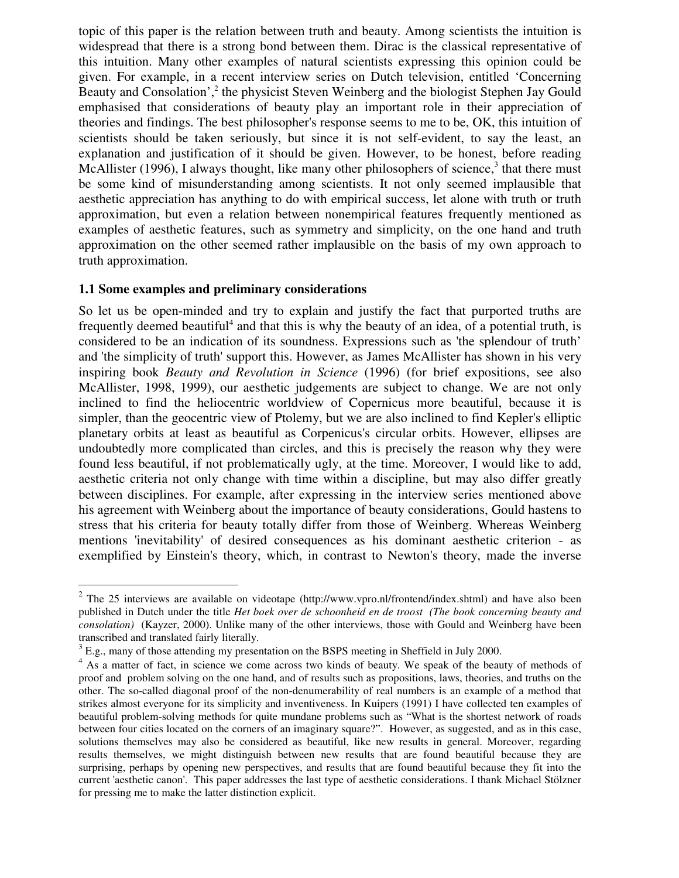topic of this paper is the relation between truth and beauty. Among scientists the intuition is widespread that there is a strong bond between them. Dirac is the classical representative of this intuition. Many other examples of natural scientists expressing this opinion could be given. For example, in a recent interview series on Dutch television, entitled 'Concerning Beauty and Consolation',<sup>2</sup> the physicist Steven Weinberg and the biologist Stephen Jay Gould emphasised that considerations of beauty play an important role in their appreciation of theories and findings. The best philosopher's response seems to me to be, OK, this intuition of scientists should be taken seriously, but since it is not self-evident, to say the least, an explanation and justification of it should be given. However, to be honest, before reading McAllister (1996), I always thought, like many other philosophers of science,<sup>3</sup> that there must be some kind of misunderstanding among scientists. It not only seemed implausible that aesthetic appreciation has anything to do with empirical success, let alone with truth or truth approximation, but even a relation between nonempirical features frequently mentioned as examples of aesthetic features, such as symmetry and simplicity, on the one hand and truth approximation on the other seemed rather implausible on the basis of my own approach to truth approximation.

# **1.1 Some examples and preliminary considerations**

So let us be open-minded and try to explain and justify the fact that purported truths are frequently deemed beautiful<sup>4</sup> and that this is why the beauty of an idea, of a potential truth, is considered to be an indication of its soundness. Expressions such as 'the splendour of truth' and 'the simplicity of truth' support this. However, as James McAllister has shown in his very inspiring book *Beauty and Revolution in Science* (1996) (for brief expositions, see also McAllister, 1998, 1999), our aesthetic judgements are subject to change. We are not only inclined to find the heliocentric worldview of Copernicus more beautiful, because it is simpler, than the geocentric view of Ptolemy, but we are also inclined to find Kepler's elliptic planetary orbits at least as beautiful as Corpenicus's circular orbits. However, ellipses are undoubtedly more complicated than circles, and this is precisely the reason why they were found less beautiful, if not problematically ugly, at the time. Moreover, I would like to add, aesthetic criteria not only change with time within a discipline, but may also differ greatly between disciplines. For example, after expressing in the interview series mentioned above his agreement with Weinberg about the importance of beauty considerations, Gould hastens to stress that his criteria for beauty totally differ from those of Weinberg. Whereas Weinberg mentions 'inevitability' of desired consequences as his dominant aesthetic criterion - as exemplified by Einstein's theory, which, in contrast to Newton's theory, made the inverse

<sup>&</sup>lt;sup>2</sup> The 25 interviews are available on videotape (http://www.vpro.nl/frontend/index.shtml) and have also been published in Dutch under the title *Het boek over de schoonheid en de troost (The book concerning beauty and consolation)* (Kayzer, 2000). Unlike many of the other interviews, those with Gould and Weinberg have been transcribed and translated fairly literally.

 $3$  E.g., many of those attending my presentation on the BSPS meeting in Sheffield in July 2000.

<sup>&</sup>lt;sup>4</sup> As a matter of fact, in science we come across two kinds of beauty. We speak of the beauty of methods of proof and problem solving on the one hand, and of results such as propositions, laws, theories, and truths on the other. The so-called diagonal proof of the non-denumerability of real numbers is an example of a method that strikes almost everyone for its simplicity and inventiveness. In Kuipers (1991) I have collected ten examples of beautiful problem-solving methods for quite mundane problems such as "What is the shortest network of roads between four cities located on the corners of an imaginary square?". However, as suggested, and as in this case, solutions themselves may also be considered as beautiful, like new results in general. Moreover, regarding results themselves, we might distinguish between new results that are found beautiful because they are surprising, perhaps by opening new perspectives, and results that are found beautiful because they fit into the current 'aesthetic canon'. This paper addresses the last type of aesthetic considerations. I thank Michael Stölzner for pressing me to make the latter distinction explicit.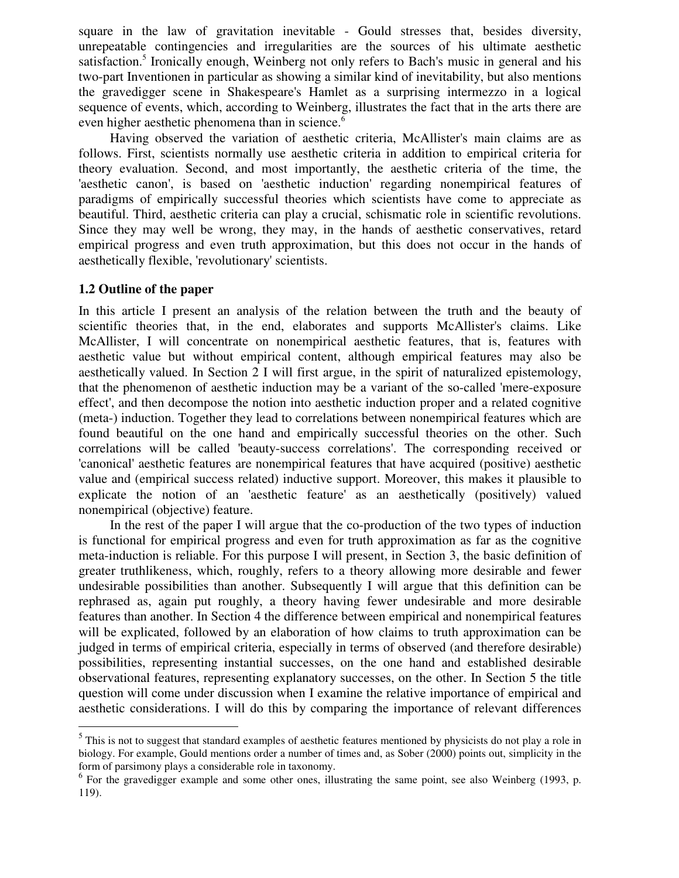square in the law of gravitation inevitable - Gould stresses that, besides diversity, unrepeatable contingencies and irregularities are the sources of his ultimate aesthetic satisfaction.<sup>5</sup> Ironically enough, Weinberg not only refers to Bach's music in general and his two-part Inventionen in particular as showing a similar kind of inevitability, but also mentions the gravedigger scene in Shakespeare's Hamlet as a surprising intermezzo in a logical sequence of events, which, according to Weinberg, illustrates the fact that in the arts there are even higher aesthetic phenomena than in science. 6

Having observed the variation of aesthetic criteria, McAllister's main claims are as follows. First, scientists normally use aesthetic criteria in addition to empirical criteria for theory evaluation. Second, and most importantly, the aesthetic criteria of the time, the 'aesthetic canon', is based on 'aesthetic induction' regarding nonempirical features of paradigms of empirically successful theories which scientists have come to appreciate as beautiful. Third, aesthetic criteria can play a crucial, schismatic role in scientific revolutions. Since they may well be wrong, they may, in the hands of aesthetic conservatives, retard empirical progress and even truth approximation, but this does not occur in the hands of aesthetically flexible, 'revolutionary' scientists.

# **1.2 Outline of the paper**

In this article I present an analysis of the relation between the truth and the beauty of scientific theories that, in the end, elaborates and supports McAllister's claims. Like McAllister, I will concentrate on nonempirical aesthetic features, that is, features with aesthetic value but without empirical content, although empirical features may also be aesthetically valued. In Section 2 I will first argue, in the spirit of naturalized epistemology, that the phenomenon of aesthetic induction may be a variant of the so-called 'mere-exposure effect', and then decompose the notion into aesthetic induction proper and a related cognitive (meta-) induction. Together they lead to correlations between nonempirical features which are found beautiful on the one hand and empirically successful theories on the other. Such correlations will be called 'beauty-success correlations'. The corresponding received or 'canonical' aesthetic features are nonempirical features that have acquired (positive) aesthetic value and (empirical success related) inductive support. Moreover, this makes it plausible to explicate the notion of an 'aesthetic feature' as an aesthetically (positively) valued nonempirical (objective) feature.

In the rest of the paper I will argue that the co-production of the two types of induction is functional for empirical progress and even for truth approximation as far as the cognitive meta-induction is reliable. For this purpose I will present, in Section 3, the basic definition of greater truthlikeness, which, roughly, refers to a theory allowing more desirable and fewer undesirable possibilities than another. Subsequently I will argue that this definition can be rephrased as, again put roughly, a theory having fewer undesirable and more desirable features than another. In Section 4 the difference between empirical and nonempirical features will be explicated, followed by an elaboration of how claims to truth approximation can be judged in terms of empirical criteria, especially in terms of observed (and therefore desirable) possibilities, representing instantial successes, on the one hand and established desirable observational features, representing explanatory successes, on the other. In Section 5 the title question will come under discussion when I examine the relative importance of empirical and aesthetic considerations. I will do this by comparing the importance of relevant differences

<sup>&</sup>lt;sup>5</sup> This is not to suggest that standard examples of aesthetic features mentioned by physicists do not play a role in biology. For example, Gould mentions order a number of times and, as Sober (2000) points out, simplicity in the form of parsimony plays a considerable role in taxonomy.

 $6$  For the gravedigger example and some other ones, illustrating the same point, see also Weinberg (1993, p. 119).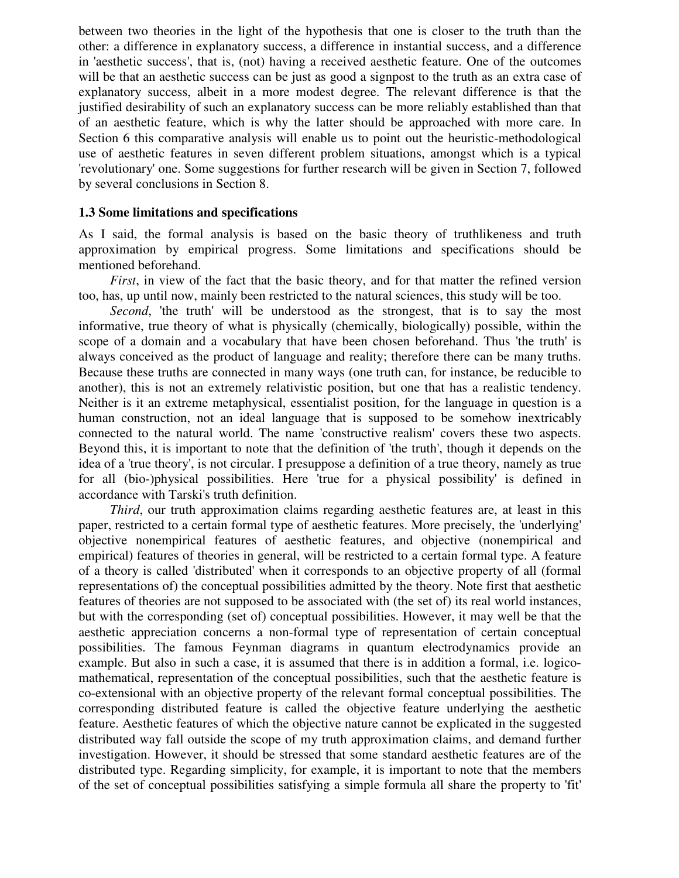between two theories in the light of the hypothesis that one is closer to the truth than the other: a difference in explanatory success, a difference in instantial success, and a difference in 'aesthetic success', that is, (not) having a received aesthetic feature. One of the outcomes will be that an aesthetic success can be just as good a signpost to the truth as an extra case of explanatory success, albeit in a more modest degree. The relevant difference is that the justified desirability of such an explanatory success can be more reliably established than that of an aesthetic feature, which is why the latter should be approached with more care. In Section 6 this comparative analysis will enable us to point out the heuristic-methodological use of aesthetic features in seven different problem situations, amongst which is a typical 'revolutionary' one. Some suggestions for further research will be given in Section 7, followed by several conclusions in Section 8.

#### **1.3 Some limitations and specifications**

As I said, the formal analysis is based on the basic theory of truthlikeness and truth approximation by empirical progress. Some limitations and specifications should be mentioned beforehand.

*First*, in view of the fact that the basic theory, and for that matter the refined version too, has, up until now, mainly been restricted to the natural sciences, this study will be too.

*Second*, 'the truth' will be understood as the strongest, that is to say the most informative, true theory of what is physically (chemically, biologically) possible, within the scope of a domain and a vocabulary that have been chosen beforehand. Thus 'the truth' is always conceived as the product of language and reality; therefore there can be many truths. Because these truths are connected in many ways (one truth can, for instance, be reducible to another), this is not an extremely relativistic position, but one that has a realistic tendency. Neither is it an extreme metaphysical, essentialist position, for the language in question is a human construction, not an ideal language that is supposed to be somehow inextricably connected to the natural world. The name 'constructive realism' covers these two aspects. Beyond this, it is important to note that the definition of 'the truth', though it depends on the idea of a 'true theory', is not circular. I presuppose a definition of a true theory, namely as true for all (bio-)physical possibilities. Here 'true for a physical possibility' is defined in accordance with Tarski's truth definition.

*Third*, our truth approximation claims regarding aesthetic features are, at least in this paper, restricted to a certain formal type of aesthetic features. More precisely, the 'underlying' objective nonempirical features of aesthetic features, and objective (nonempirical and empirical) features of theories in general, will be restricted to a certain formal type. A feature of a theory is called 'distributed' when it corresponds to an objective property of all (formal representations of) the conceptual possibilities admitted by the theory. Note first that aesthetic features of theories are not supposed to be associated with (the set of) its real world instances, but with the corresponding (set of) conceptual possibilities. However, it may well be that the aesthetic appreciation concerns a non-formal type of representation of certain conceptual possibilities. The famous Feynman diagrams in quantum electrodynamics provide an example. But also in such a case, it is assumed that there is in addition a formal, i.e. logicomathematical, representation of the conceptual possibilities, such that the aesthetic feature is co-extensional with an objective property of the relevant formal conceptual possibilities. The corresponding distributed feature is called the objective feature underlying the aesthetic feature. Aesthetic features of which the objective nature cannot be explicated in the suggested distributed way fall outside the scope of my truth approximation claims, and demand further investigation. However, it should be stressed that some standard aesthetic features are of the distributed type. Regarding simplicity, for example, it is important to note that the members of the set of conceptual possibilities satisfying a simple formula all share the property to 'fit'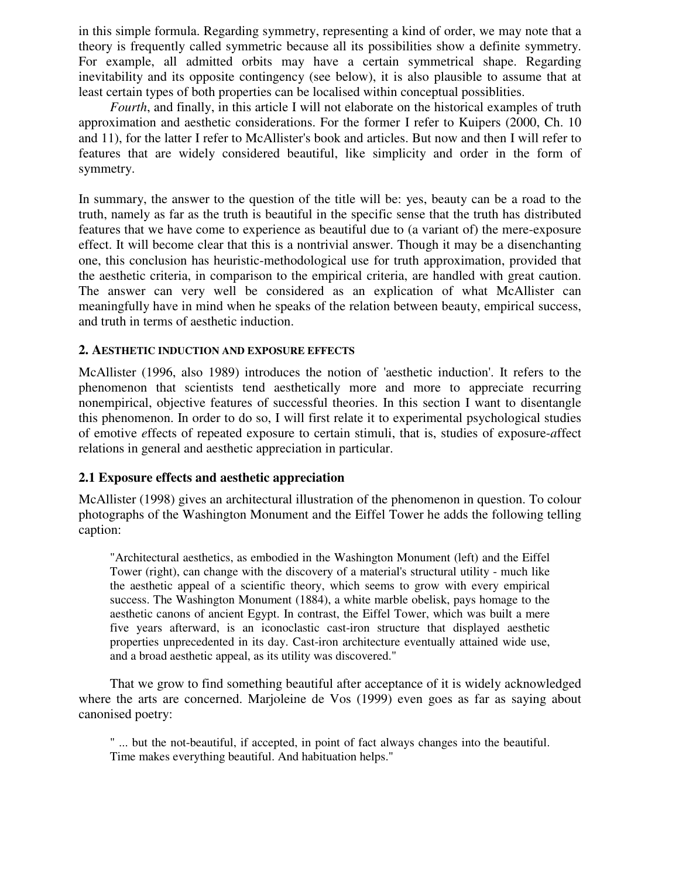in this simple formula. Regarding symmetry, representing a kind of order, we may note that a theory is frequently called symmetric because all its possibilities show a definite symmetry. For example, all admitted orbits may have a certain symmetrical shape. Regarding inevitability and its opposite contingency (see below), it is also plausible to assume that at least certain types of both properties can be localised within conceptual possiblities.

*Fourth*, and finally, in this article I will not elaborate on the historical examples of truth approximation and aesthetic considerations. For the former I refer to Kuipers (2000, Ch. 10 and 11), for the latter I refer to McAllister's book and articles. But now and then I will refer to features that are widely considered beautiful, like simplicity and order in the form of symmetry.

In summary, the answer to the question of the title will be: yes, beauty can be a road to the truth, namely as far as the truth is beautiful in the specific sense that the truth has distributed features that we have come to experience as beautiful due to (a variant of) the mere-exposure effect. It will become clear that this is a nontrivial answer. Though it may be a disenchanting one, this conclusion has heuristic-methodological use for truth approximation, provided that the aesthetic criteria, in comparison to the empirical criteria, are handled with great caution. The answer can very well be considered as an explication of what McAllister can meaningfully have in mind when he speaks of the relation between beauty, empirical success, and truth in terms of aesthetic induction.

# **2. AESTHETIC INDUCTION AND EXPOSURE EFFECTS**

McAllister (1996, also 1989) introduces the notion of 'aesthetic induction'. It refers to the phenomenon that scientists tend aesthetically more and more to appreciate recurring nonempirical, objective features of successful theories. In this section I want to disentangle this phenomenon. In order to do so, I will first relate it to experimental psychological studies of emotive *e*ffects of repeated exposure to certain stimuli, that is, studies of exposure-*a*ffect relations in general and aesthetic appreciation in particular.

# **2.1 Exposure effects and aesthetic appreciation**

McAllister (1998) gives an architectural illustration of the phenomenon in question. To colour photographs of the Washington Monument and the Eiffel Tower he adds the following telling caption:

"Architectural aesthetics, as embodied in the Washington Monument (left) and the Eiffel Tower (right), can change with the discovery of a material's structural utility - much like the aesthetic appeal of a scientific theory, which seems to grow with every empirical success. The Washington Monument (1884), a white marble obelisk, pays homage to the aesthetic canons of ancient Egypt. In contrast, the Eiffel Tower, which was built a mere five years afterward, is an iconoclastic cast-iron structure that displayed aesthetic properties unprecedented in its day. Cast-iron architecture eventually attained wide use, and a broad aesthetic appeal, as its utility was discovered."

That we grow to find something beautiful after acceptance of it is widely acknowledged where the arts are concerned. Marjoleine de Vos (1999) even goes as far as saying about canonised poetry:

" ... but the not-beautiful, if accepted, in point of fact always changes into the beautiful. Time makes everything beautiful. And habituation helps."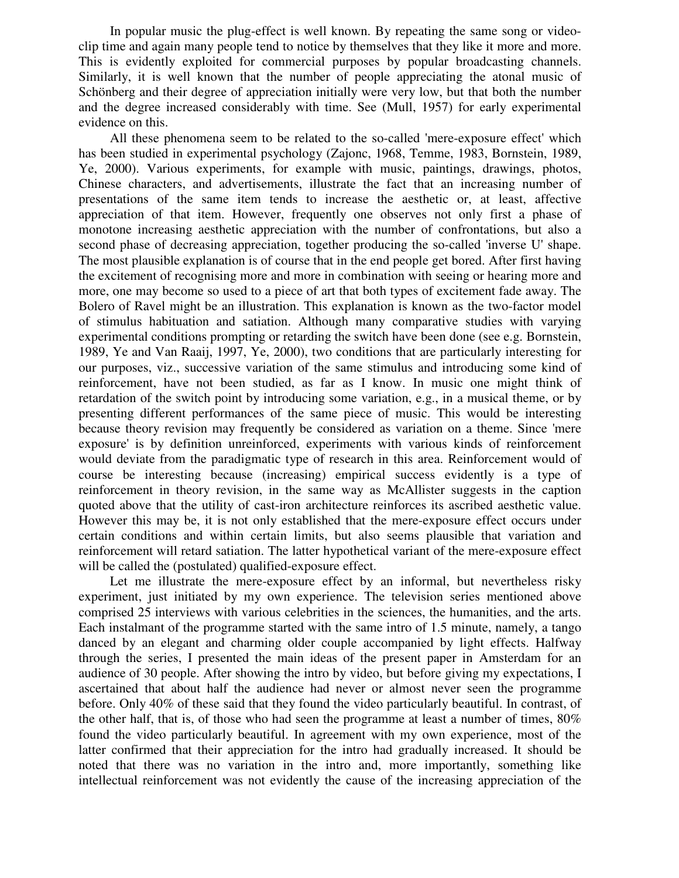In popular music the plug-effect is well known. By repeating the same song or videoclip time and again many people tend to notice by themselves that they like it more and more. This is evidently exploited for commercial purposes by popular broadcasting channels. Similarly, it is well known that the number of people appreciating the atonal music of Schönberg and their degree of appreciation initially were very low, but that both the number and the degree increased considerably with time. See (Mull, 1957) for early experimental evidence on this.

All these phenomena seem to be related to the so-called 'mere-exposure effect' which has been studied in experimental psychology (Zajonc, 1968, Temme, 1983, Bornstein, 1989, Ye, 2000). Various experiments, for example with music, paintings, drawings, photos, Chinese characters, and advertisements, illustrate the fact that an increasing number of presentations of the same item tends to increase the aesthetic or, at least, affective appreciation of that item. However, frequently one observes not only first a phase of monotone increasing aesthetic appreciation with the number of confrontations, but also a second phase of decreasing appreciation, together producing the so-called 'inverse U' shape. The most plausible explanation is of course that in the end people get bored. After first having the excitement of recognising more and more in combination with seeing or hearing more and more, one may become so used to a piece of art that both types of excitement fade away. The Bolero of Ravel might be an illustration. This explanation is known as the two-factor model of stimulus habituation and satiation. Although many comparative studies with varying experimental conditions prompting or retarding the switch have been done (see e.g. Bornstein, 1989, Ye and Van Raaij, 1997, Ye, 2000), two conditions that are particularly interesting for our purposes, viz., successive variation of the same stimulus and introducing some kind of reinforcement, have not been studied, as far as I know. In music one might think of retardation of the switch point by introducing some variation, e.g., in a musical theme, or by presenting different performances of the same piece of music. This would be interesting because theory revision may frequently be considered as variation on a theme. Since 'mere exposure' is by definition unreinforced, experiments with various kinds of reinforcement would deviate from the paradigmatic type of research in this area. Reinforcement would of course be interesting because (increasing) empirical success evidently is a type of reinforcement in theory revision, in the same way as McAllister suggests in the caption quoted above that the utility of cast-iron architecture reinforces its ascribed aesthetic value. However this may be, it is not only established that the mere-exposure effect occurs under certain conditions and within certain limits, but also seems plausible that variation and reinforcement will retard satiation. The latter hypothetical variant of the mere-exposure effect will be called the (postulated) qualified-exposure effect.

Let me illustrate the mere-exposure effect by an informal, but nevertheless risky experiment, just initiated by my own experience. The television series mentioned above comprised 25 interviews with various celebrities in the sciences, the humanities, and the arts. Each instalmant of the programme started with the same intro of 1.5 minute, namely, a tango danced by an elegant and charming older couple accompanied by light effects. Halfway through the series, I presented the main ideas of the present paper in Amsterdam for an audience of 30 people. After showing the intro by video, but before giving my expectations, I ascertained that about half the audience had never or almost never seen the programme before. Only 40% of these said that they found the video particularly beautiful. In contrast, of the other half, that is, of those who had seen the programme at least a number of times, 80% found the video particularly beautiful. In agreement with my own experience, most of the latter confirmed that their appreciation for the intro had gradually increased. It should be noted that there was no variation in the intro and, more importantly, something like intellectual reinforcement was not evidently the cause of the increasing appreciation of the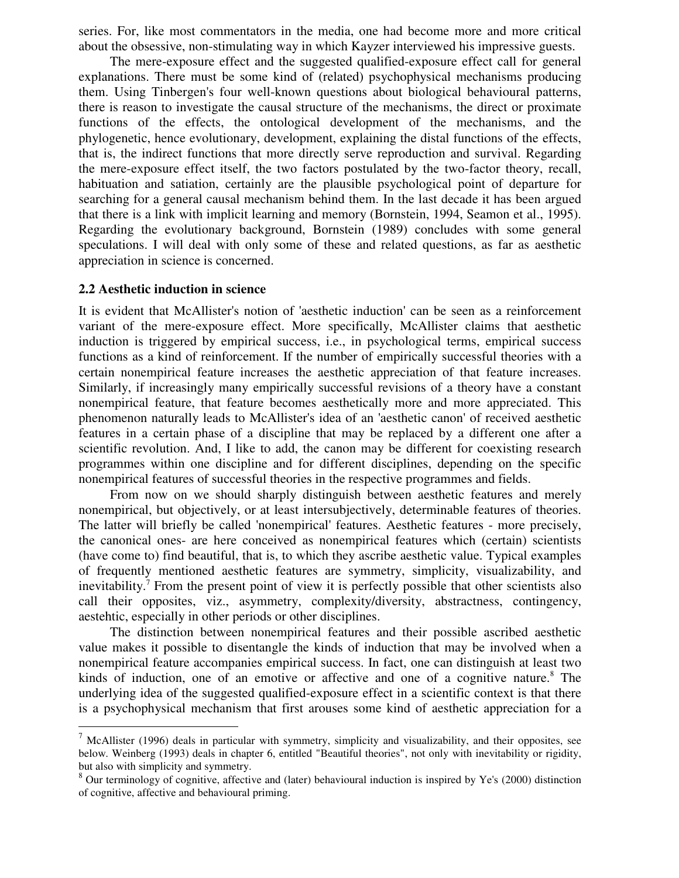series. For, like most commentators in the media, one had become more and more critical about the obsessive, non-stimulating way in which Kayzer interviewed his impressive guests.

The mere-exposure effect and the suggested qualified-exposure effect call for general explanations. There must be some kind of (related) psychophysical mechanisms producing them. Using Tinbergen's four well-known questions about biological behavioural patterns, there is reason to investigate the causal structure of the mechanisms, the direct or proximate functions of the effects, the ontological development of the mechanisms, and the phylogenetic, hence evolutionary, development, explaining the distal functions of the effects, that is, the indirect functions that more directly serve reproduction and survival. Regarding the mere-exposure effect itself, the two factors postulated by the two-factor theory, recall, habituation and satiation, certainly are the plausible psychological point of departure for searching for a general causal mechanism behind them. In the last decade it has been argued that there is a link with implicit learning and memory (Bornstein, 1994, Seamon et al., 1995). Regarding the evolutionary background, Bornstein (1989) concludes with some general speculations. I will deal with only some of these and related questions, as far as aesthetic appreciation in science is concerned.

# **2.2 Aesthetic induction in science**

It is evident that McAllister's notion of 'aesthetic induction' can be seen as a reinforcement variant of the mere-exposure effect. More specifically, McAllister claims that aesthetic induction is triggered by empirical success, i.e., in psychological terms, empirical success functions as a kind of reinforcement. If the number of empirically successful theories with a certain nonempirical feature increases the aesthetic appreciation of that feature increases. Similarly, if increasingly many empirically successful revisions of a theory have a constant nonempirical feature, that feature becomes aesthetically more and more appreciated. This phenomenon naturally leads to McAllister's idea of an 'aesthetic canon' of received aesthetic features in a certain phase of a discipline that may be replaced by a different one after a scientific revolution. And, I like to add, the canon may be different for coexisting research programmes within one discipline and for different disciplines, depending on the specific nonempirical features of successful theories in the respective programmes and fields.

From now on we should sharply distinguish between aesthetic features and merely nonempirical, but objectively, or at least intersubjectively, determinable features of theories. The latter will briefly be called 'nonempirical' features. Aesthetic features - more precisely, the canonical ones- are here conceived as nonempirical features which (certain) scientists (have come to) find beautiful, that is, to which they ascribe aesthetic value. Typical examples of frequently mentioned aesthetic features are symmetry, simplicity, visualizability, and inevitability.<sup>7</sup> From the present point of view it is perfectly possible that other scientists also call their opposites, viz., asymmetry, complexity/diversity, abstractness, contingency, aestehtic, especially in other periods or other disciplines.

The distinction between nonempirical features and their possible ascribed aesthetic value makes it possible to disentangle the kinds of induction that may be involved when a nonempirical feature accompanies empirical success. In fact, one can distinguish at least two kinds of induction, one of an emotive or affective and one of a cognitive nature.<sup>8</sup> The underlying idea of the suggested qualified-exposure effect in a scientific context is that there is a psychophysical mechanism that first arouses some kind of aesthetic appreciation for a

 $<sup>7</sup>$  McAllister (1996) deals in particular with symmetry, simplicity and visualizability, and their opposites, see</sup> below. Weinberg (1993) deals in chapter 6, entitled "Beautiful theories", not only with inevitability or rigidity, but also with simplicity and symmetry.

 $8$  Our terminology of cognitive, affective and (later) behavioural induction is inspired by Ye's (2000) distinction of cognitive, affective and behavioural priming.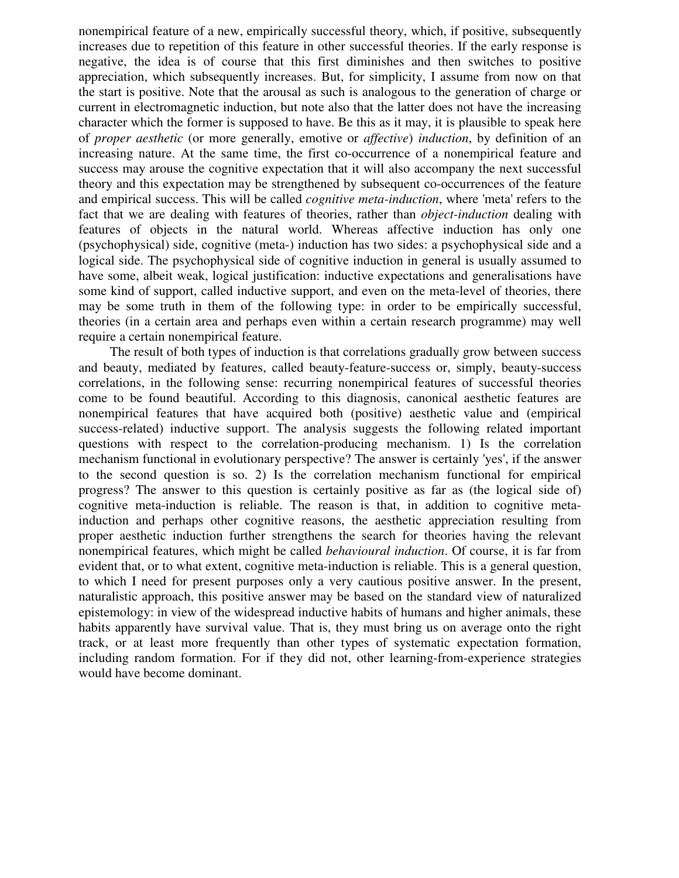nonempirical feature of a new, empirically successful theory, which, if positive, subsequently increases due to repetition of this feature in other successful theories. If the early response is negative, the idea is of course that this first diminishes and then switches to positive appreciation, which subsequently increases. But, for simplicity, I assume from now on that the start is positive. Note that the arousal as such is analogous to the generation of charge or current in electromagnetic induction, but note also that the latter does not have the increasing character which the former is supposed to have. Be this as it may, it is plausible to speak here of *proper aesthetic* (or more generally, emotive or *affective*) *induction*, by definition of an increasing nature. At the same time, the first co-occurrence of a nonempirical feature and success may arouse the cognitive expectation that it will also accompany the next successful theory and this expectation may be strengthened by subsequent co-occurrences of the feature and empirical success. This will be called *cognitive meta-induction*, where 'meta' refers to the fact that we are dealing with features of theories, rather than *object-induction* dealing with features of objects in the natural world. Whereas affective induction has only one (psychophysical) side, cognitive (meta-) induction has two sides: a psychophysical side and a logical side. The psychophysical side of cognitive induction in general is usually assumed to have some, albeit weak, logical justification: inductive expectations and generalisations have some kind of support, called inductive support, and even on the meta-level of theories, there may be some truth in them of the following type: in order to be empirically successful, theories (in a certain area and perhaps even within a certain research programme) may well require a certain nonempirical feature.

The result of both types of induction is that correlations gradually grow between success and beauty, mediated by features, called beauty-feature-success or, simply, beauty-success correlations, in the following sense: recurring nonempirical features of successful theories come to be found beautiful. According to this diagnosis, canonical aesthetic features are nonempirical features that have acquired both (positive) aesthetic value and (empirical success-related) inductive support. The analysis suggests the following related important questions with respect to the correlation-producing mechanism. 1) Is the correlation mechanism functional in evolutionary perspective? The answer is certainly 'yes', if the answer to the second question is so. 2) Is the correlation mechanism functional for empirical progress? The answer to this question is certainly positive as far as (the logical side of) cognitive meta-induction is reliable. The reason is that, in addition to cognitive metainduction and perhaps other cognitive reasons, the aesthetic appreciation resulting from proper aesthetic induction further strengthens the search for theories having the relevant nonempirical features, which might be called *behavioural induction*. Of course, it is far from evident that, or to what extent, cognitive meta-induction is reliable. This is a general question, to which I need for present purposes only a very cautious positive answer. In the present, naturalistic approach, this positive answer may be based on the standard view of naturalized epistemology: in view of the widespread inductive habits of humans and higher animals, these habits apparently have survival value. That is, they must bring us on average onto the right track, or at least more frequently than other types of systematic expectation formation, including random formation. For if they did not, other learning-from-experience strategies would have become dominant.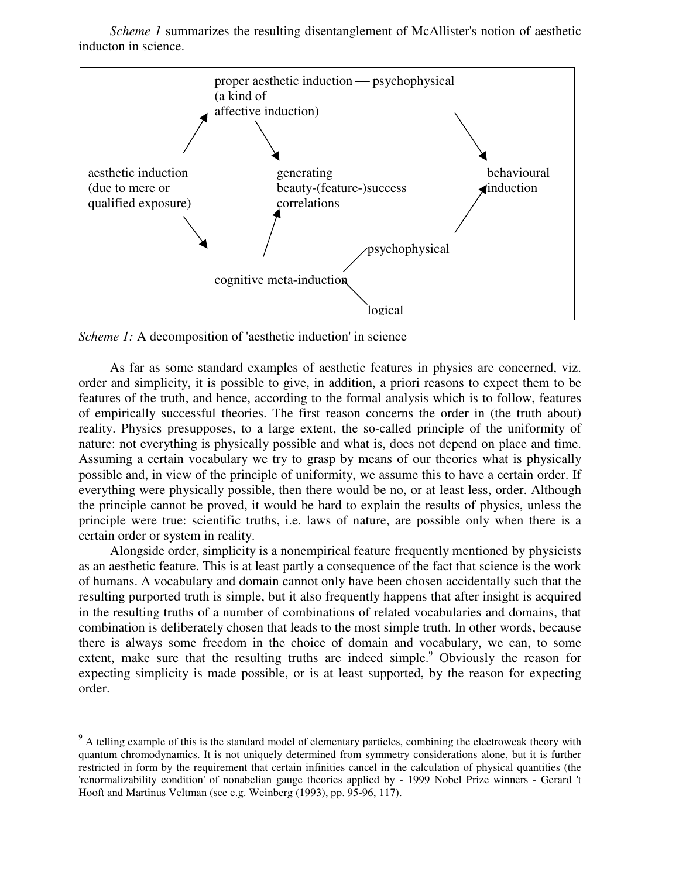*Scheme 1* summarizes the resulting disentanglement of McAllister's notion of aesthetic inducton in science.



*Scheme 1:* A decomposition of 'aesthetic induction' in science

As far as some standard examples of aesthetic features in physics are concerned, viz. order and simplicity, it is possible to give, in addition, a priori reasons to expect them to be features of the truth, and hence, according to the formal analysis which is to follow, features of empirically successful theories. The first reason concerns the order in (the truth about) reality. Physics presupposes, to a large extent, the so-called principle of the uniformity of nature: not everything is physically possible and what is, does not depend on place and time. Assuming a certain vocabulary we try to grasp by means of our theories what is physically possible and, in view of the principle of uniformity, we assume this to have a certain order. If everything were physically possible, then there would be no, or at least less, order. Although the principle cannot be proved, it would be hard to explain the results of physics, unless the principle were true: scientific truths, i.e. laws of nature, are possible only when there is a certain order or system in reality.

Alongside order, simplicity is a nonempirical feature frequently mentioned by physicists as an aesthetic feature. This is at least partly a consequence of the fact that science is the work of humans. A vocabulary and domain cannot only have been chosen accidentally such that the resulting purported truth is simple, but it also frequently happens that after insight is acquired in the resulting truths of a number of combinations of related vocabularies and domains, that combination is deliberately chosen that leads to the most simple truth. In other words, because there is always some freedom in the choice of domain and vocabulary, we can, to some extent, make sure that the resulting truths are indeed simple.<sup>9</sup> Obviously the reason for expecting simplicity is made possible, or is at least supported, by the reason for expecting order.

<sup>&</sup>lt;sup>9</sup> A telling example of this is the standard model of elementary particles, combining the electroweak theory with quantum chromodynamics. It is not uniquely determined from symmetry considerations alone, but it is further restricted in form by the requirement that certain infinities cancel in the calculation of physical quantities (the 'renormalizability condition' of nonabelian gauge theories applied by - 1999 Nobel Prize winners - Gerard 't Hooft and Martinus Veltman (see e.g. Weinberg (1993), pp. 95-96, 117).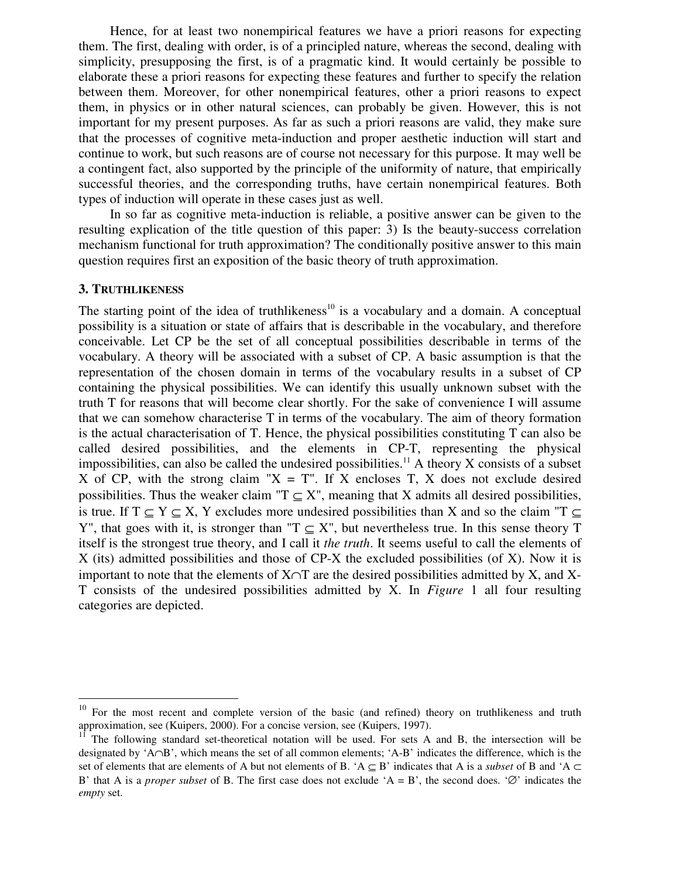Hence, for at least two nonempirical features we have a priori reasons for expecting them. The first, dealing with order, is of a principled nature, whereas the second, dealing with simplicity, presupposing the first, is of a pragmatic kind. It would certainly be possible to elaborate these a priori reasons for expecting these features and further to specify the relation between them. Moreover, for other nonempirical features, other a priori reasons to expect them, in physics or in other natural sciences, can probably be given. However, this is not important for my present purposes. As far as such a priori reasons are valid, they make sure that the processes of cognitive meta-induction and proper aesthetic induction will start and continue to work, but such reasons are of course not necessary for this purpose. It may well be a contingent fact, also supported by the principle of the uniformity of nature, that empirically successful theories, and the corresponding truths, have certain nonempirical features. Both types of induction will operate in these cases just as well.

In so far as cognitive meta-induction is reliable, a positive answer can be given to the resulting explication of the title question of this paper: 3) Is the beauty-success correlation mechanism functional for truth approximation? The conditionally positive answer to this main question requires first an exposition of the basic theory of truth approximation.

## **3. TRUTHLIKENESS**

The starting point of the idea of truthlikeness<sup>10</sup> is a vocabulary and a domain. A conceptual possibility is a situation or state of affairs that is describable in the vocabulary, and therefore conceivable. Let CP be the set of all conceptual possibilities describable in terms of the vocabulary. A theory will be associated with a subset of CP. A basic assumption is that the representation of the chosen domain in terms of the vocabulary results in a subset of CP containing the physical possibilities. We can identify this usually unknown subset with the truth T for reasons that will become clear shortly. For the sake of convenience I will assume that we can somehow characterise T in terms of the vocabulary. The aim of theory formation is the actual characterisation of T. Hence, the physical possibilities constituting T can also be called desired possibilities, and the elements in CP-T, representing the physical impossibilities, can also be called the undesired possibilities.<sup>11</sup> A theory X consists of a subset X of CP, with the strong claim " $X = T$ ". If X encloses T, X does not exclude desired possibilities. Thus the weaker claim "T  $\subseteq$  X", meaning that X admits all desired possibilities, is true. If  $T \subseteq Y \subseteq X$ , Y excludes more undesired possibilities than X and so the claim "T  $\subseteq$ Y", that goes with it, is stronger than "T  $\subseteq$  X", but nevertheless true. In this sense theory T itself is the strongest true theory, and I call it *the truth*. It seems useful to call the elements of X (its) admitted possibilities and those of CP-X the excluded possibilities (of X). Now it is important to note that the elements of X∩T are the desired possibilities admitted by X, and X-T consists of the undesired possibilities admitted by X. In *Figure* 1 all four resulting categories are depicted.

 $10$  For the most recent and complete version of the basic (and refined) theory on truthlikeness and truth approximation, see (Kuipers, 2000). For a concise version, see (Kuipers, 1997).

 $11$  The following standard set-theoretical notation will be used. For sets A and B, the intersection will be designated by 'A∩B', which means the set of all common elements; 'A-B' indicates the difference, which is the set of elements that are elements of A but not elements of B. 'A ⊆ B' indicates that A is a *subset* of B and 'A ⊂ B' that A is a *proper subset* of B. The first case does not exclude 'A = B', the second does. '∅' indicates the *empty* set.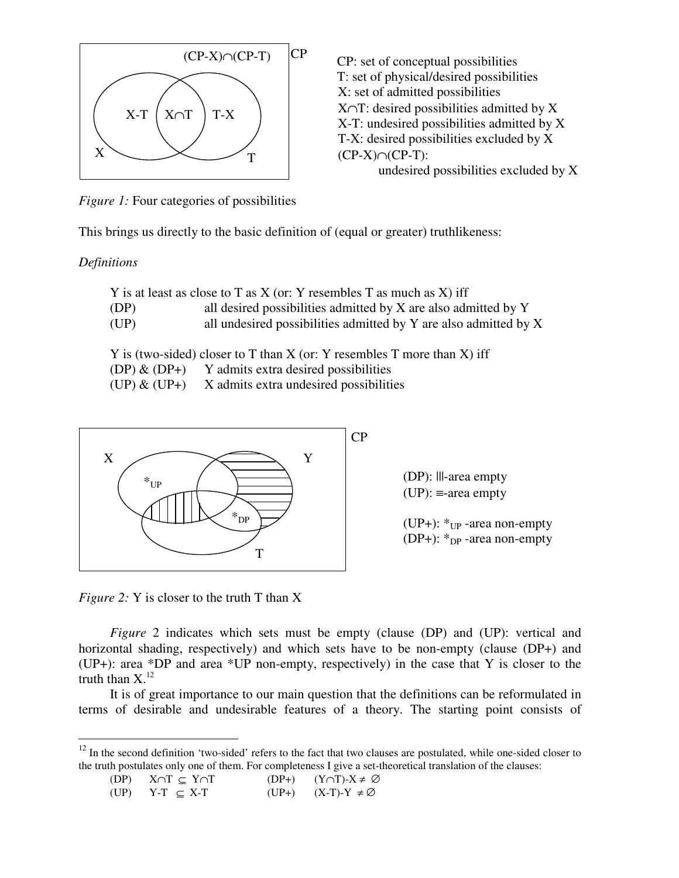

CP: set of conceptual possibilities T: set of physical/desired possibilities X: set of admitted possibilities X∩T: desired possibilities admitted by X X-T: undesired possibilities admitted by X T-X: desired possibilities excluded by X (CP-X)∩(CP-T): undesired possibilities excluded by X

*Figure 1:* Four categories of possibilities

This brings us directly to the basic definition of (equal or greater) truthlikeness:

# *Definitions*

|      | Y is at least as close to T as $X$ (or: Y resembles T as much as $X$ ) iff   |
|------|------------------------------------------------------------------------------|
| (DP) | all desired possibilities admitted by X are also admitted by Y               |
| (UP) | all undesired possibilities admitted by Y are also admitted by X             |
|      |                                                                              |
|      | Y is (two-sided) closer to T than $X$ (or: Y resembles T more than $X$ ) iff |
|      | $(DP) & (DP+)$ Y admits extra desired possibilities                          |
|      | $(UP)$ & $(UP+)$ X admits extra undesired possibilities                      |



*Figure 2:* Y is closer to the truth T than X

*Figure* 2 indicates which sets must be empty (clause (DP) and (UP): vertical and horizontal shading, respectively) and which sets have to be non-empty (clause (DP+) and (UP+): area \*DP and area \*UP non-empty, respectively) in the case that Y is closer to the truth than  $X$ <sup>12</sup>

It is of great importance to our main question that the definitions can be reformulated in terms of desirable and undesirable features of a theory. The starting point consists of

$$
\begin{array}{llll}\n\text{(DP)} & \text{X} \cap \text{T} \subseteq \text{Y} \cap \text{T} \\
\text{(UP)} & \text{Y} \cdot \text{T} \subseteq \text{X} \cdot \text{T}\n\end{array}\n\quad\n\begin{array}{llll}\n\text{(DP+)} & \text{(Y} \cap \text{T}) \cdot \text{X} \neq \varnothing \\
\text{(UP+)} & \text{(X-T)} \cdot \text{Y} \neq \varnothing\n\end{array}
$$

 $12$  In the second definition 'two-sided' refers to the fact that two clauses are postulated, while one-sided closer to the truth postulates only one of them. For completeness I give a set-theoretical translation of the clauses: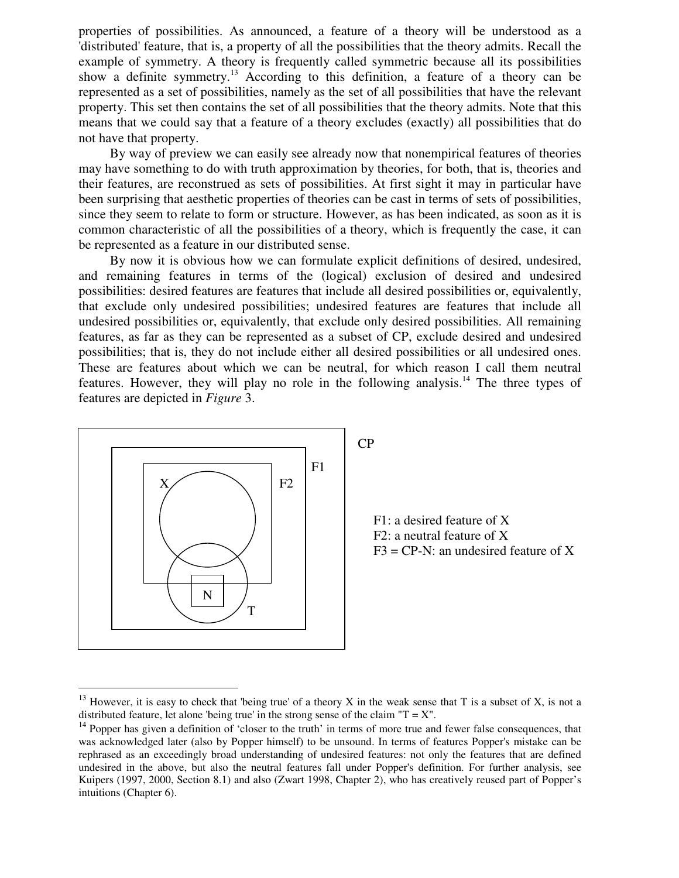properties of possibilities. As announced, a feature of a theory will be understood as a 'distributed' feature, that is, a property of all the possibilities that the theory admits. Recall the example of symmetry. A theory is frequently called symmetric because all its possibilities show a definite symmetry. <sup>13</sup> According to this definition, a feature of a theory can be represented as a set of possibilities, namely as the set of all possibilities that have the relevant property. This set then contains the set of all possibilities that the theory admits. Note that this means that we could say that a feature of a theory excludes (exactly) all possibilities that do not have that property.

By way of preview we can easily see already now that nonempirical features of theories may have something to do with truth approximation by theories, for both, that is, theories and their features, are reconstrued as sets of possibilities. At first sight it may in particular have been surprising that aesthetic properties of theories can be cast in terms of sets of possibilities, since they seem to relate to form or structure. However, as has been indicated, as soon as it is common characteristic of all the possibilities of a theory, which is frequently the case, it can be represented as a feature in our distributed sense.

By now it is obvious how we can formulate explicit definitions of desired, undesired, and remaining features in terms of the (logical) exclusion of desired and undesired possibilities: desired features are features that include all desired possibilities or, equivalently, that exclude only undesired possibilities; undesired features are features that include all undesired possibilities or, equivalently, that exclude only desired possibilities. All remaining features, as far as they can be represented as a subset of CP, exclude desired and undesired possibilities; that is, they do not include either all desired possibilities or all undesired ones. These are features about which we can be neutral, for which reason I call them neutral features. However, they will play no role in the following analysis.<sup>14</sup> The three types of features are depicted in *Figure* 3.



# CP

F1: a desired feature of X F2: a neutral feature of X  $F3 = CP-N$ : an undesired feature of X

<sup>&</sup>lt;sup>13</sup> However, it is easy to check that 'being true' of a theory X in the weak sense that T is a subset of X, is not a distributed feature, let alone 'being true' in the strong sense of the claim  $T = X$ ".

<sup>&</sup>lt;sup>14</sup> Popper has given a definition of 'closer to the truth' in terms of more true and fewer false consequences, that was acknowledged later (also by Popper himself) to be unsound. In terms of features Popper's mistake can be rephrased as an exceedingly broad understanding of undesired features: not only the features that are defined undesired in the above, but also the neutral features fall under Popper's definition. For further analysis, see Kuipers (1997, 2000, Section 8.1) and also (Zwart 1998, Chapter 2), who has creatively reused part of Popper's intuitions (Chapter 6).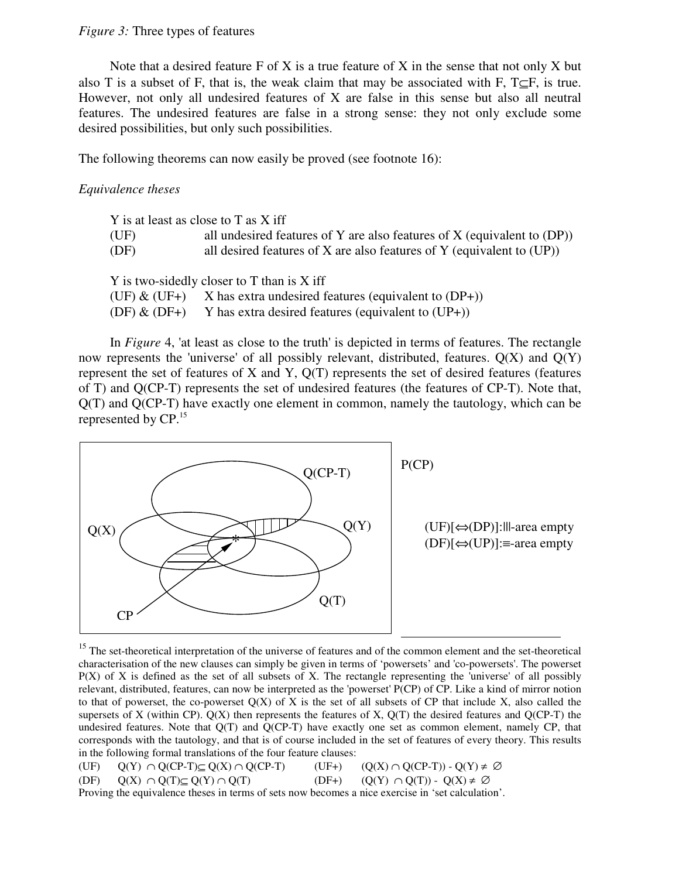## *Figure 3:* Three types of features

Note that a desired feature  $F$  of  $X$  is a true feature of  $X$  in the sense that not only  $X$  but also T is a subset of F, that is, the weak claim that may be associated with F, T $\subset$ F, is true. However, not only all undesired features of X are false in this sense but also all neutral features. The undesired features are false in a strong sense: they not only exclude some desired possibilities, but only such possibilities.

The following theorems can now easily be proved (see footnote 16):

#### *Equivalence theses*

| Y is at least as close to T as X iff       |                                                                            |  |  |  |
|--------------------------------------------|----------------------------------------------------------------------------|--|--|--|
| (UF)                                       | all undesired features of Y are also features of X (equivalent to $(DP)$ ) |  |  |  |
| (DF)                                       | all desired features of X are also features of Y (equivalent to $(UP)$ )   |  |  |  |
|                                            |                                                                            |  |  |  |
| Y is two-sidedly closer to T than is X iff |                                                                            |  |  |  |
| (UF) & (UF+)                               | X has extra undesired features (equivalent to $(DP+)$ )                    |  |  |  |
| $(DF)$ & $(DF+)$                           | Y has extra desired features (equivalent to $(UP+)$ )                      |  |  |  |
|                                            |                                                                            |  |  |  |

In *Figure* 4, 'at least as close to the truth' is depicted in terms of features. The rectangle now represents the 'universe' of all possibly relevant, distributed, features. Q(X) and Q(Y) represent the set of features of X and Y, Q(T) represents the set of desired features (features of T) and Q(CP-T) represents the set of undesired features (the features of CP-T). Note that, Q(T) and Q(CP-T) have exactly one element in common, namely the tautology, which can be represented by CP. 15



<sup>15</sup> The set-theoretical interpretation of the universe of features and of the common element and the set-theoretical characterisation of the new clauses can simply be given in terms of 'powersets' and 'co-powersets'. The powerset P(X) of X is defined as the set of all subsets of X. The rectangle representing the 'universe' of all possibly relevant, distributed, features, can now be interpreted as the 'powerset' P(CP) of CP. Like a kind of mirror notion to that of powerset, the co-powerset  $Q(X)$  of X is the set of all subsets of CP that include X, also called the supersets of X (within CP).  $Q(X)$  then represents the features of X,  $Q(T)$  the desired features and  $Q(CP-T)$  the undesired features. Note that Q(T) and Q(CP-T) have exactly one set as common element, namely CP, that corresponds with the tautology, and that is of course included in the set of features of every theory. This results in the following formal translations of the four feature clauses:

| (UF) | $Q(Y) \cap Q(CP-T) \subseteq Q(X) \cap Q(CP-T)$                                                   | $(UF+)$ $(Q(X) \cap Q(CP-T)) - Q(Y) \neq \emptyset$ |
|------|---------------------------------------------------------------------------------------------------|-----------------------------------------------------|
|      | $(DF)$ $Q(X) \cap Q(T) \subseteq Q(Y) \cap Q(T)$                                                  | $(DF+)$ $(O(Y) \cap O(T)) - O(X) \neq \emptyset$    |
|      | Proving the equivalence theses in terms of sets now becomes a nice exercise in 'set calculation'. |                                                     |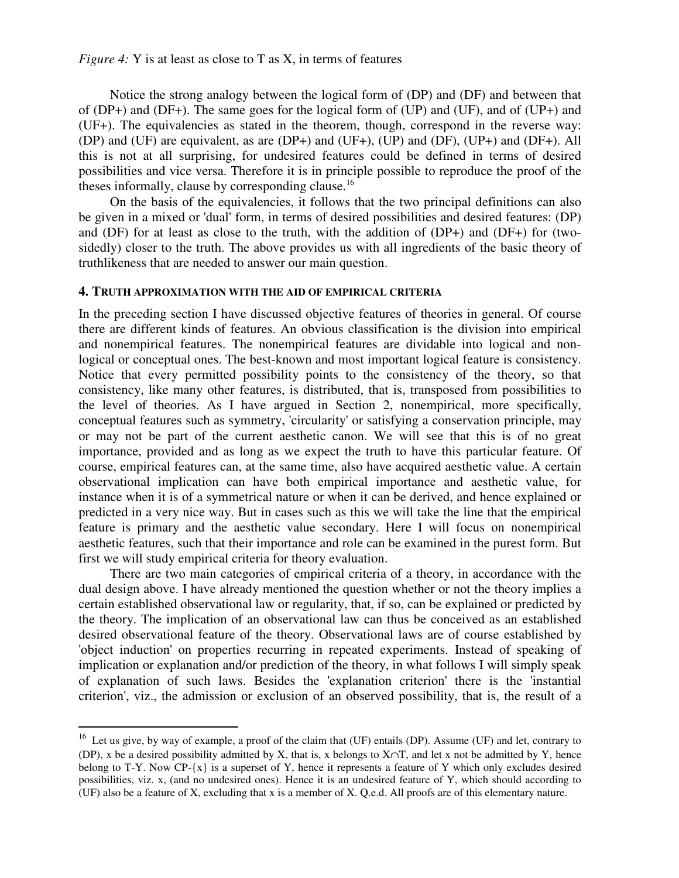#### *Figure* 4: Y is at least as close to T as X, in terms of features

Notice the strong analogy between the logical form of (DP) and (DF) and between that of (DP+) and (DF+). The same goes for the logical form of (UP) and (UF), and of (UP+) and (UF+). The equivalencies as stated in the theorem, though, correspond in the reverse way: (DP) and (UF) are equivalent, as are (DP+) and (UF+), (UP) and (DF), (UP+) and (DF+). All this is not at all surprising, for undesired features could be defined in terms of desired possibilities and vice versa. Therefore it is in principle possible to reproduce the proof of the theses informally, clause by corresponding clause.<sup>16</sup>

On the basis of the equivalencies, it follows that the two principal definitions can also be given in a mixed or 'dual' form, in terms of desired possibilities and desired features: (DP) and (DF) for at least as close to the truth, with the addition of (DP+) and (DF+) for (twosidedly) closer to the truth. The above provides us with all ingredients of the basic theory of truthlikeness that are needed to answer our main question.

## **4. TRUTH APPROXIMATION WITH THE AID OF EMPIRICAL CRITERIA**

In the preceding section I have discussed objective features of theories in general. Of course there are different kinds of features. An obvious classification is the division into empirical and nonempirical features. The nonempirical features are dividable into logical and nonlogical or conceptual ones. The best-known and most important logical feature is consistency. Notice that every permitted possibility points to the consistency of the theory, so that consistency, like many other features, is distributed, that is, transposed from possibilities to the level of theories. As I have argued in Section 2, nonempirical, more specifically, conceptual features such as symmetry, 'circularity' or satisfying a conservation principle, may or may not be part of the current aesthetic canon. We will see that this is of no great importance, provided and as long as we expect the truth to have this particular feature. Of course, empirical features can, at the same time, also have acquired aesthetic value. A certain observational implication can have both empirical importance and aesthetic value, for instance when it is of a symmetrical nature or when it can be derived, and hence explained or predicted in a very nice way. But in cases such as this we will take the line that the empirical feature is primary and the aesthetic value secondary. Here I will focus on nonempirical aesthetic features, such that their importance and role can be examined in the purest form. But first we will study empirical criteria for theory evaluation.

There are two main categories of empirical criteria of a theory, in accordance with the dual design above. I have already mentioned the question whether or not the theory implies a certain established observational law or regularity, that, if so, can be explained or predicted by the theory. The implication of an observational law can thus be conceived as an established desired observational feature of the theory. Observational laws are of course established by 'object induction' on properties recurring in repeated experiments. Instead of speaking of implication or explanation and/or prediction of the theory, in what follows I will simply speak of explanation of such laws. Besides the 'explanation criterion' there is the 'instantial criterion', viz., the admission or exclusion of an observed possibility, that is, the result of a

<sup>&</sup>lt;sup>16</sup> Let us give, by way of example, a proof of the claim that (UF) entails (DP). Assume (UF) and let, contrary to (DP), x be a desired possibility admitted by X, that is, x belongs to  $X \cap T$ , and let x not be admitted by Y, hence belong to T-Y. Now CP- $\{x\}$  is a superset of Y, hence it represents a feature of Y which only excludes desired possibilities, viz. x, (and no undesired ones). Hence it is an undesired feature of Y, which should according to (UF) also be a feature of X, excluding that x is a member of X. Q.e.d. All proofs are of this elementary nature.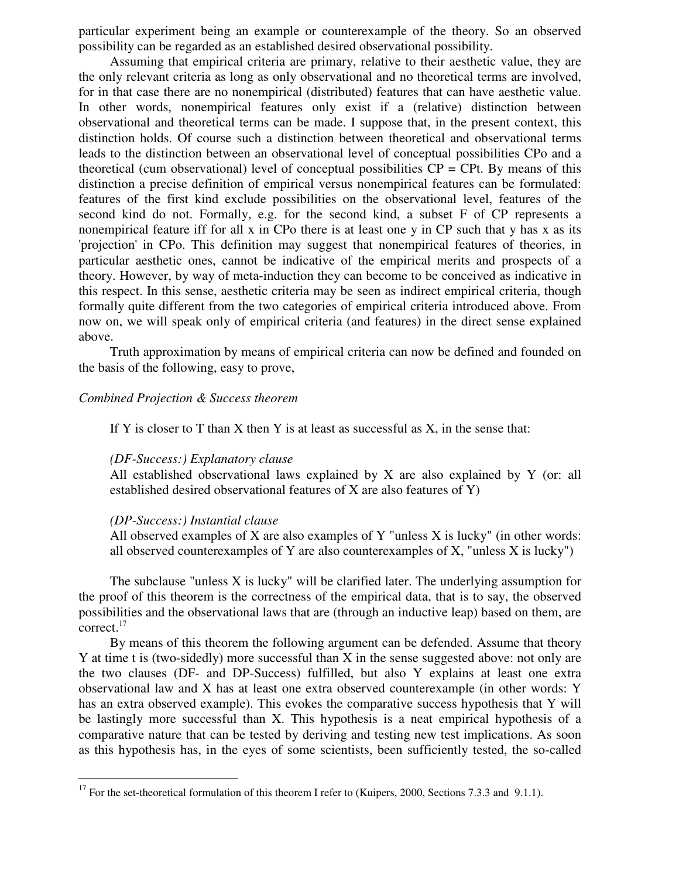particular experiment being an example or counterexample of the theory. So an observed possibility can be regarded as an established desired observational possibility.

Assuming that empirical criteria are primary, relative to their aesthetic value, they are the only relevant criteria as long as only observational and no theoretical terms are involved, for in that case there are no nonempirical (distributed) features that can have aesthetic value. In other words, nonempirical features only exist if a (relative) distinction between observational and theoretical terms can be made. I suppose that, in the present context, this distinction holds. Of course such a distinction between theoretical and observational terms leads to the distinction between an observational level of conceptual possibilities CPo and a theoretical (cum observational) level of conceptual possibilities  $CP = \text{CPt}$ . By means of this distinction a precise definition of empirical versus nonempirical features can be formulated: features of the first kind exclude possibilities on the observational level, features of the second kind do not. Formally, e.g. for the second kind, a subset F of CP represents a nonempirical feature iff for all x in CPo there is at least one y in CP such that y has x as its 'projection' in CPo. This definition may suggest that nonempirical features of theories, in particular aesthetic ones, cannot be indicative of the empirical merits and prospects of a theory. However, by way of meta-induction they can become to be conceived as indicative in this respect. In this sense, aesthetic criteria may be seen as indirect empirical criteria, though formally quite different from the two categories of empirical criteria introduced above. From now on, we will speak only of empirical criteria (and features) in the direct sense explained above.

Truth approximation by means of empirical criteria can now be defined and founded on the basis of the following, easy to prove,

## *Combined Projection & Success theorem*

If Y is closer to T than X then Y is at least as successful as  $X$ , in the sense that:

#### *(DF-Success:) Explanatory clause*

All established observational laws explained by X are also explained by Y (or: all established desired observational features of X are also features of Y)

#### *(DP-Success:) Instantial clause*

All observed examples of X are also examples of Y "unless X is lucky" (in other words: all observed counterexamples of Y are also counterexamples of X, "unless  $X$  is lucky")

The subclause "unless X is lucky" will be clarified later. The underlying assumption for the proof of this theorem is the correctness of the empirical data, that is to say, the observed possibilities and the observational laws that are (through an inductive leap) based on them, are correct. 17

By means of this theorem the following argument can be defended. Assume that theory Y at time t is (two-sidedly) more successful than X in the sense suggested above: not only are the two clauses (DF- and DP-Success) fulfilled, but also Y explains at least one extra observational law and X has at least one extra observed counterexample (in other words: Y has an extra observed example). This evokes the comparative success hypothesis that Y will be lastingly more successful than X. This hypothesis is a neat empirical hypothesis of a comparative nature that can be tested by deriving and testing new test implications. As soon as this hypothesis has, in the eyes of some scientists, been sufficiently tested, the so-called

<sup>&</sup>lt;sup>17</sup> For the set-theoretical formulation of this theorem I refer to (Kuipers, 2000, Sections 7.3.3 and 9.1.1).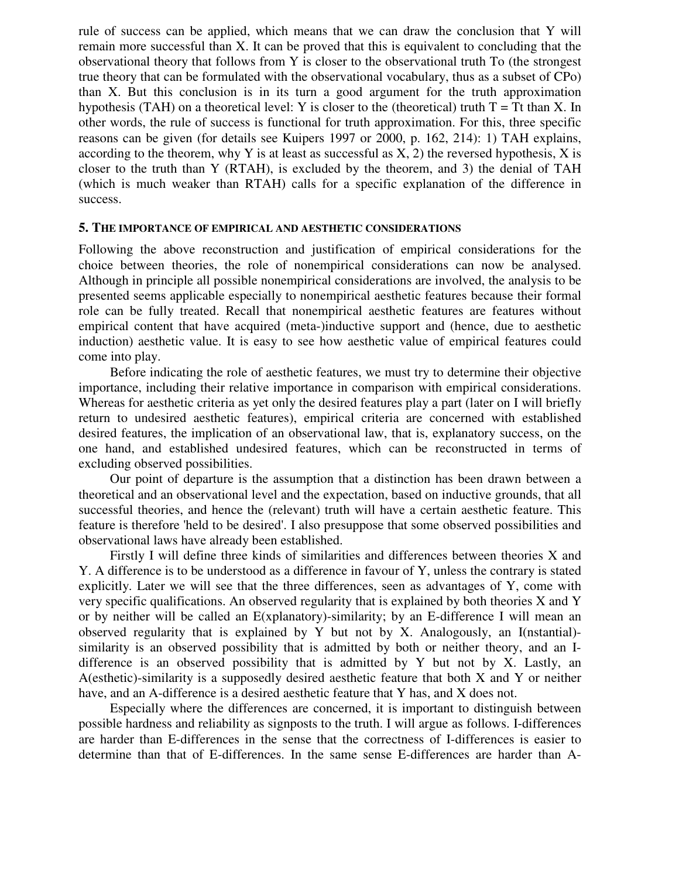rule of success can be applied, which means that we can draw the conclusion that Y will remain more successful than X. It can be proved that this is equivalent to concluding that the observational theory that follows from Y is closer to the observational truth To (the strongest true theory that can be formulated with the observational vocabulary, thus as a subset of CPo) than X. But this conclusion is in its turn a good argument for the truth approximation hypothesis (TAH) on a theoretical level: Y is closer to the (theoretical) truth  $T = Tt$  than X. In other words, the rule of success is functional for truth approximation. For this, three specific reasons can be given (for details see Kuipers 1997 or 2000, p. 162, 214): 1) TAH explains, according to the theorem, why Y is at least as successful as  $X$ , 2) the reversed hypothesis, X is closer to the truth than Y (RTAH), is excluded by the theorem, and 3) the denial of TAH (which is much weaker than RTAH) calls for a specific explanation of the difference in success.

## **5. THE IMPORTANCE OF EMPIRICAL AND AESTHETIC CONSIDERATIONS**

Following the above reconstruction and justification of empirical considerations for the choice between theories, the role of nonempirical considerations can now be analysed. Although in principle all possible nonempirical considerations are involved, the analysis to be presented seems applicable especially to nonempirical aesthetic features because their formal role can be fully treated. Recall that nonempirical aesthetic features are features without empirical content that have acquired (meta-)inductive support and (hence, due to aesthetic induction) aesthetic value. It is easy to see how aesthetic value of empirical features could come into play.

Before indicating the role of aesthetic features, we must try to determine their objective importance, including their relative importance in comparison with empirical considerations. Whereas for aesthetic criteria as yet only the desired features play a part (later on I will briefly return to undesired aesthetic features), empirical criteria are concerned with established desired features, the implication of an observational law, that is, explanatory success, on the one hand, and established undesired features, which can be reconstructed in terms of excluding observed possibilities.

Our point of departure is the assumption that a distinction has been drawn between a theoretical and an observational level and the expectation, based on inductive grounds, that all successful theories, and hence the (relevant) truth will have a certain aesthetic feature. This feature is therefore 'held to be desired'. I also presuppose that some observed possibilities and observational laws have already been established.

Firstly I will define three kinds of similarities and differences between theories X and Y. A difference is to be understood as a difference in favour of Y, unless the contrary is stated explicitly. Later we will see that the three differences, seen as advantages of Y, come with very specific qualifications. An observed regularity that is explained by both theories X and Y or by neither will be called an E(xplanatory)-similarity; by an E-difference I will mean an observed regularity that is explained by Y but not by X. Analogously, an I(nstantial) similarity is an observed possibility that is admitted by both or neither theory, and an Idifference is an observed possibility that is admitted by Y but not by X. Lastly, an A(esthetic)-similarity is a supposedly desired aesthetic feature that both X and Y or neither have, and an A-difference is a desired aesthetic feature that Y has, and X does not.

Especially where the differences are concerned, it is important to distinguish between possible hardness and reliability as signposts to the truth. I will argue as follows. I-differences are harder than E-differences in the sense that the correctness of I-differences is easier to determine than that of E-differences. In the same sense E-differences are harder than A-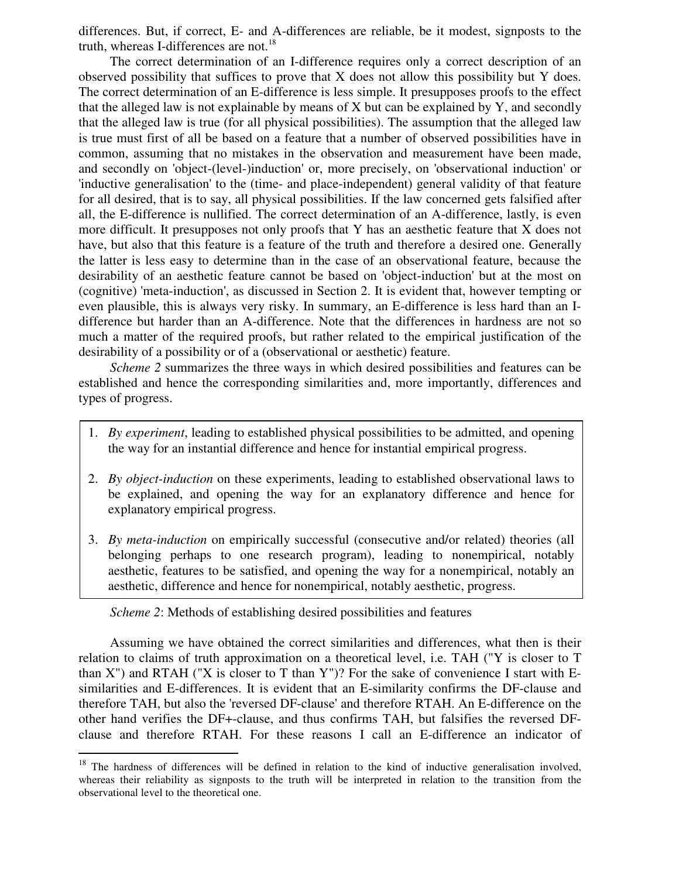differences. But, if correct, E- and A-differences are reliable, be it modest, signposts to the truth, whereas I-differences are not. 18

The correct determination of an I-difference requires only a correct description of an observed possibility that suffices to prove that X does not allow this possibility but Y does. The correct determination of an E-difference is less simple. It presupposes proofs to the effect that the alleged law is not explainable by means of X but can be explained by Y, and secondly that the alleged law is true (for all physical possibilities). The assumption that the alleged law is true must first of all be based on a feature that a number of observed possibilities have in common, assuming that no mistakes in the observation and measurement have been made, and secondly on 'object-(level-)induction' or, more precisely, on 'observational induction' or 'inductive generalisation' to the (time- and place-independent) general validity of that feature for all desired, that is to say, all physical possibilities. If the law concerned gets falsified after all, the E-difference is nullified. The correct determination of an A-difference, lastly, is even more difficult. It presupposes not only proofs that Y has an aesthetic feature that X does not have, but also that this feature is a feature of the truth and therefore a desired one. Generally the latter is less easy to determine than in the case of an observational feature, because the desirability of an aesthetic feature cannot be based on 'object-induction' but at the most on (cognitive) 'meta-induction', as discussed in Section 2. It is evident that, however tempting or even plausible, this is always very risky. In summary, an E-difference is less hard than an Idifference but harder than an A-difference. Note that the differences in hardness are not so much a matter of the required proofs, but rather related to the empirical justification of the desirability of a possibility or of a (observational or aesthetic) feature.

*Scheme* 2 summarizes the three ways in which desired possibilities and features can be established and hence the corresponding similarities and, more importantly, differences and types of progress.

- 1. *By experiment*, leading to established physical possibilities to be admitted, and opening the way for an instantial difference and hence for instantial empirical progress.
- 2. *By object-induction* on these experiments, leading to established observational laws to be explained, and opening the way for an explanatory difference and hence for explanatory empirical progress.
- 3. *By meta-induction* on empirically successful (consecutive and/or related) theories (all belonging perhaps to one research program), leading to nonempirical, notably aesthetic, features to be satisfied, and opening the way for a nonempirical, notably an aesthetic, difference and hence for nonempirical, notably aesthetic, progress.

#### *Scheme 2*: Methods of establishing desired possibilities and features

Assuming we have obtained the correct similarities and differences, what then is their relation to claims of truth approximation on a theoretical level, i.e. TAH ("Y is closer to T than  $X''$ ) and RTAH ("X is closer to T than Y")? For the sake of convenience I start with Esimilarities and E-differences. It is evident that an E-similarity confirms the DF-clause and therefore TAH, but also the 'reversed DF-clause' and therefore RTAH. An E-difference on the other hand verifies the DF+-clause, and thus confirms TAH, but falsifies the reversed DFclause and therefore RTAH. For these reasons I call an E-difference an indicator of

<sup>&</sup>lt;sup>18</sup> The hardness of differences will be defined in relation to the kind of inductive generalisation involved, whereas their reliability as signposts to the truth will be interpreted in relation to the transition from the observational level to the theoretical one.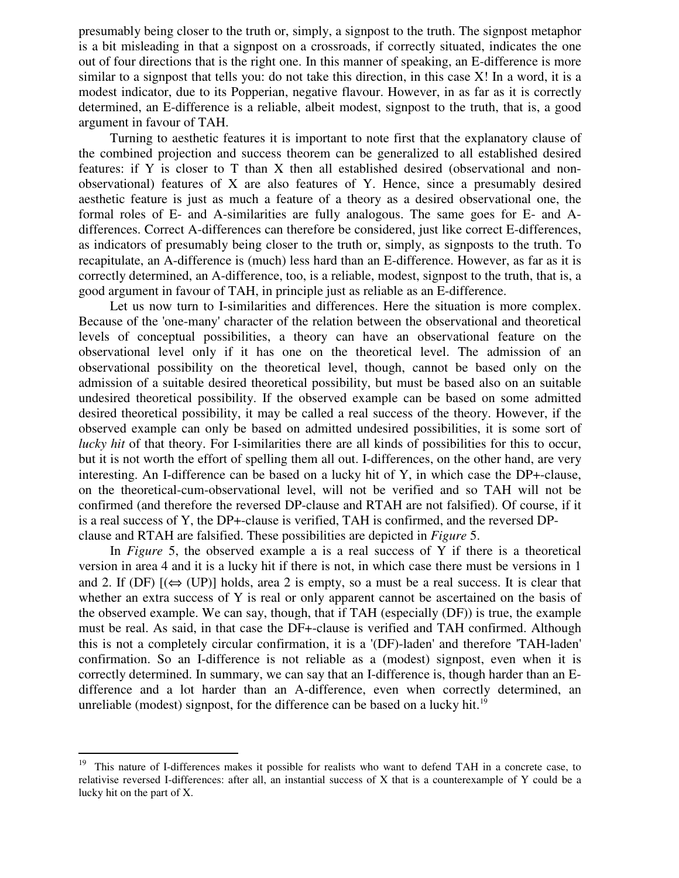presumably being closer to the truth or, simply, a signpost to the truth. The signpost metaphor is a bit misleading in that a signpost on a crossroads, if correctly situated, indicates the one out of four directions that is the right one. In this manner of speaking, an E-difference is more similar to a signpost that tells you: do not take this direction, in this case X! In a word, it is a modest indicator, due to its Popperian, negative flavour. However, in as far as it is correctly determined, an E-difference is a reliable, albeit modest, signpost to the truth, that is, a good argument in favour of TAH.

Turning to aesthetic features it is important to note first that the explanatory clause of the combined projection and success theorem can be generalized to all established desired features: if Y is closer to T than X then all established desired (observational and nonobservational) features of X are also features of Y. Hence, since a presumably desired aesthetic feature is just as much a feature of a theory as a desired observational one, the formal roles of E- and A-similarities are fully analogous. The same goes for E- and Adifferences. Correct A-differences can therefore be considered, just like correct E-differences, as indicators of presumably being closer to the truth or, simply, as signposts to the truth. To recapitulate, an A-difference is (much) less hard than an E-difference. However, as far as it is correctly determined, an A-difference, too, is a reliable, modest, signpost to the truth, that is, a good argument in favour of TAH, in principle just as reliable as an E-difference.

Let us now turn to I-similarities and differences. Here the situation is more complex. Because of the 'one-many' character of the relation between the observational and theoretical levels of conceptual possibilities, a theory can have an observational feature on the observational level only if it has one on the theoretical level. The admission of an observational possibility on the theoretical level, though, cannot be based only on the admission of a suitable desired theoretical possibility, but must be based also on an suitable undesired theoretical possibility. If the observed example can be based on some admitted desired theoretical possibility, it may be called a real success of the theory. However, if the observed example can only be based on admitted undesired possibilities, it is some sort of *lucky hit* of that theory. For I-similarities there are all kinds of possibilities for this to occur, but it is not worth the effort of spelling them all out. I-differences, on the other hand, are very interesting. An I-difference can be based on a lucky hit of Y, in which case the DP+-clause, on the theoretical-cum-observational level, will not be verified and so TAH will not be confirmed (and therefore the reversed DP-clause and RTAH are not falsified). Of course, if it is a real success of Y, the DP+-clause is verified, TAH is confirmed, and the reversed DPclause and RTAH are falsified. These possibilities are depicted in *Figure* 5.

In *Figure* 5, the observed example a is a real success of Y if there is a theoretical version in area 4 and it is a lucky hit if there is not, in which case there must be versions in 1 and 2. If (DF)  $[(\Leftrightarrow (UP)]$  holds, area 2 is empty, so a must be a real success. It is clear that whether an extra success of Y is real or only apparent cannot be ascertained on the basis of the observed example. We can say, though, that if TAH (especially (DF)) is true, the example must be real. As said, in that case the DF+-clause is verified and TAH confirmed. Although this is not a completely circular confirmation, it is a '(DF)-laden' and therefore 'TAH-laden' confirmation. So an I-difference is not reliable as a (modest) signpost, even when it is correctly determined. In summary, we can say that an I-difference is, though harder than an Edifference and a lot harder than an A-difference, even when correctly determined, an unreliable (modest) signpost, for the difference can be based on a lucky hit.<sup>19</sup>

<sup>19</sup> This nature of I-differences makes it possible for realists who want to defend TAH in a concrete case, to relativise reversed I-differences: after all, an instantial success of X that is a counterexample of Y could be a lucky hit on the part of X.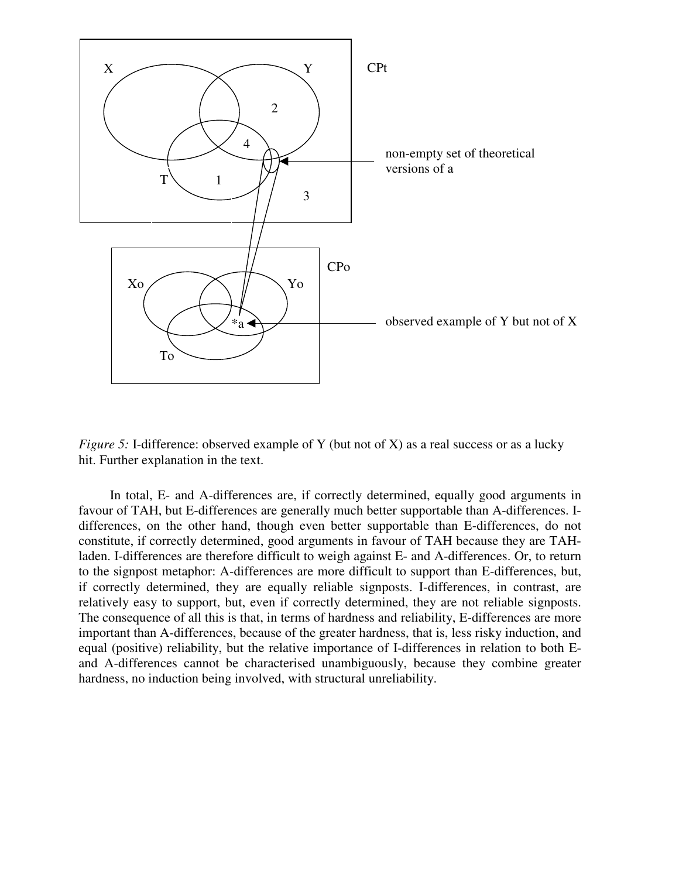

*Figure* 5: I-difference: observed example of Y (but not of X) as a real success or as a lucky hit. Further explanation in the text.

In total, E- and A-differences are, if correctly determined, equally good arguments in favour of TAH, but E-differences are generally much better supportable than A-differences. Idifferences, on the other hand, though even better supportable than E-differences, do not constitute, if correctly determined, good arguments in favour of TAH because they are TAHladen. I-differences are therefore difficult to weigh against E- and A-differences. Or, to return to the signpost metaphor: A-differences are more difficult to support than E-differences, but, if correctly determined, they are equally reliable signposts. I-differences, in contrast, are relatively easy to support, but, even if correctly determined, they are not reliable signposts. The consequence of all this is that, in terms of hardness and reliability, E-differences are more important than A-differences, because of the greater hardness, that is, less risky induction, and equal (positive) reliability, but the relative importance of I-differences in relation to both Eand A-differences cannot be characterised unambiguously, because they combine greater hardness, no induction being involved, with structural unreliability.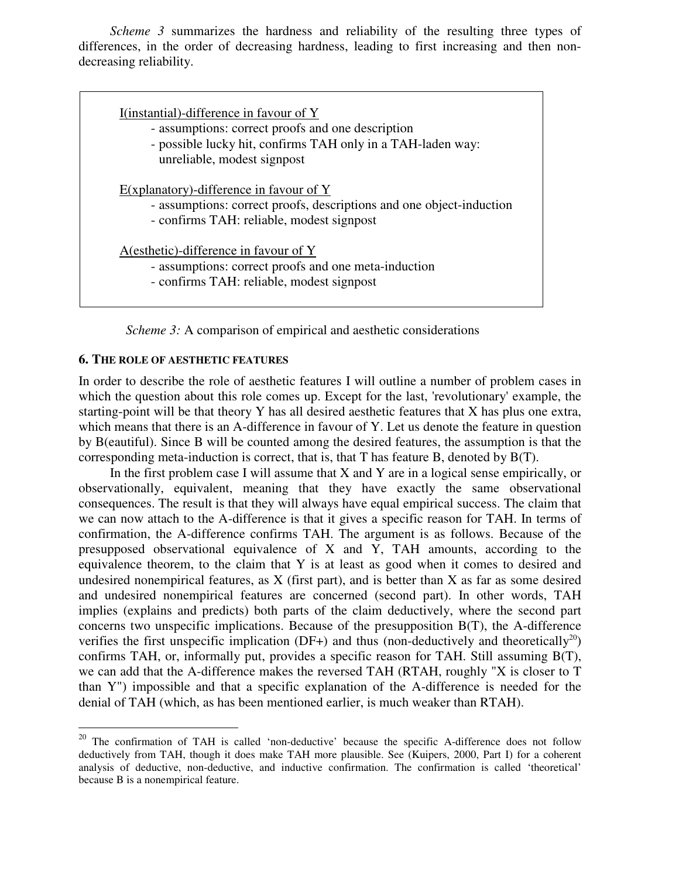*Scheme* 3 summarizes the hardness and reliability of the resulting three types of differences, in the order of decreasing hardness, leading to first increasing and then nondecreasing reliability.



*Scheme 3:* A comparison of empirical and aesthetic considerations

## **6. THE ROLE OF AESTHETIC FEATURES**

In order to describe the role of aesthetic features I will outline a number of problem cases in which the question about this role comes up. Except for the last, 'revolutionary' example, the starting-point will be that theory Y has all desired aesthetic features that X has plus one extra, which means that there is an A-difference in favour of Y. Let us denote the feature in question by B(eautiful). Since B will be counted among the desired features, the assumption is that the corresponding meta-induction is correct, that is, that T has feature B, denoted by B(T).

In the first problem case I will assume that X and Y are in a logical sense empirically, or observationally, equivalent, meaning that they have exactly the same observational consequences. The result is that they will always have equal empirical success. The claim that we can now attach to the A-difference is that it gives a specific reason for TAH. In terms of confirmation, the A-difference confirms TAH. The argument is as follows. Because of the presupposed observational equivalence of X and Y, TAH amounts, according to the equivalence theorem, to the claim that Y is at least as good when it comes to desired and undesired nonempirical features, as X (first part), and is better than X as far as some desired and undesired nonempirical features are concerned (second part). In other words, TAH implies (explains and predicts) both parts of the claim deductively, where the second part concerns two unspecific implications. Because of the presupposition B(T), the A-difference verifies the first unspecific implication (DF+) and thus (non-deductively and theoretically<sup>20</sup>) confirms TAH, or, informally put, provides a specific reason for TAH. Still assuming B(T), we can add that the A-difference makes the reversed TAH (RTAH, roughly "X is closer to T than Y") impossible and that a specific explanation of the A-difference is needed for the denial of TAH (which, as has been mentioned earlier, is much weaker than RTAH).

 $20$  The confirmation of TAH is called 'non-deductive' because the specific A-difference does not follow deductively from TAH, though it does make TAH more plausible. See (Kuipers, 2000, Part I) for a coherent analysis of deductive, non-deductive, and inductive confirmation. The confirmation is called 'theoretical' because B is a nonempirical feature.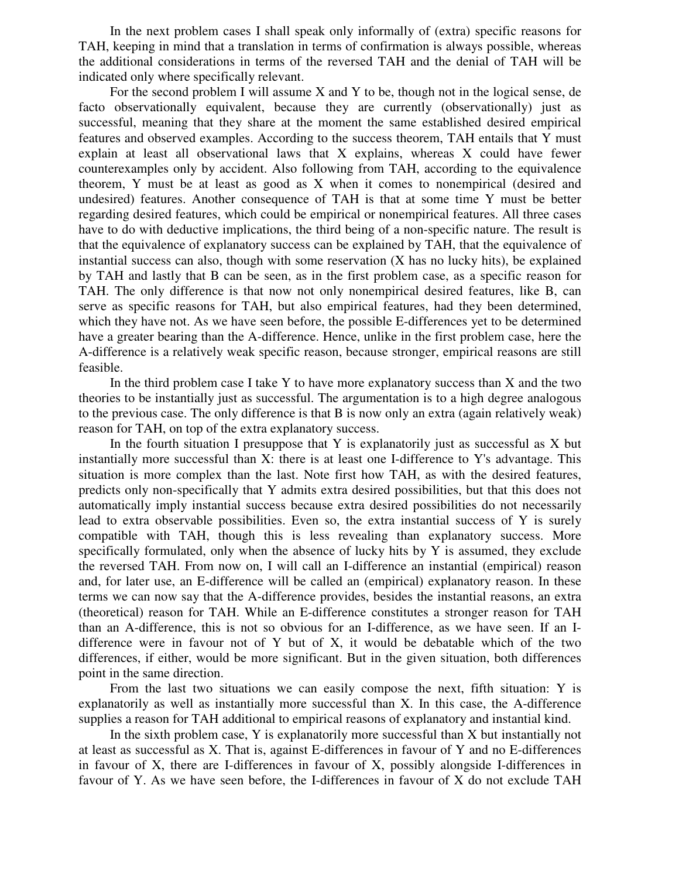In the next problem cases I shall speak only informally of (extra) specific reasons for TAH, keeping in mind that a translation in terms of confirmation is always possible, whereas the additional considerations in terms of the reversed TAH and the denial of TAH will be indicated only where specifically relevant.

For the second problem I will assume X and Y to be, though not in the logical sense, de facto observationally equivalent, because they are currently (observationally) just as successful, meaning that they share at the moment the same established desired empirical features and observed examples. According to the success theorem, TAH entails that Y must explain at least all observational laws that X explains, whereas X could have fewer counterexamples only by accident. Also following from TAH, according to the equivalence theorem, Y must be at least as good as X when it comes to nonempirical (desired and undesired) features. Another consequence of TAH is that at some time Y must be better regarding desired features, which could be empirical or nonempirical features. All three cases have to do with deductive implications, the third being of a non-specific nature. The result is that the equivalence of explanatory success can be explained by TAH, that the equivalence of instantial success can also, though with some reservation (X has no lucky hits), be explained by TAH and lastly that B can be seen, as in the first problem case, as a specific reason for TAH. The only difference is that now not only nonempirical desired features, like B, can serve as specific reasons for TAH, but also empirical features, had they been determined, which they have not. As we have seen before, the possible E-differences yet to be determined have a greater bearing than the A-difference. Hence, unlike in the first problem case, here the A-difference is a relatively weak specific reason, because stronger, empirical reasons are still feasible.

In the third problem case I take Y to have more explanatory success than  $X$  and the two theories to be instantially just as successful. The argumentation is to a high degree analogous to the previous case. The only difference is that B is now only an extra (again relatively weak) reason for TAH, on top of the extra explanatory success.

In the fourth situation I presuppose that Y is explanatorily just as successful as  $X$  but instantially more successful than X: there is at least one I-difference to Y's advantage. This situation is more complex than the last. Note first how TAH, as with the desired features, predicts only non-specifically that Y admits extra desired possibilities, but that this does not automatically imply instantial success because extra desired possibilities do not necessarily lead to extra observable possibilities. Even so, the extra instantial success of Y is surely compatible with TAH, though this is less revealing than explanatory success. More specifically formulated, only when the absence of lucky hits by Y is assumed, they exclude the reversed TAH. From now on, I will call an I-difference an instantial (empirical) reason and, for later use, an E-difference will be called an (empirical) explanatory reason. In these terms we can now say that the A-difference provides, besides the instantial reasons, an extra (theoretical) reason for TAH. While an E-difference constitutes a stronger reason for TAH than an A-difference, this is not so obvious for an I-difference, as we have seen. If an Idifference were in favour not of Y but of X, it would be debatable which of the two differences, if either, would be more significant. But in the given situation, both differences point in the same direction.

From the last two situations we can easily compose the next, fifth situation: Y is explanatorily as well as instantially more successful than X. In this case, the A-difference supplies a reason for TAH additional to empirical reasons of explanatory and instantial kind.

In the sixth problem case, Y is explanatorily more successful than X but instantially not at least as successful as X. That is, against E-differences in favour of Y and no E-differences in favour of X, there are I-differences in favour of X, possibly alongside I-differences in favour of Y. As we have seen before, the I-differences in favour of X do not exclude TAH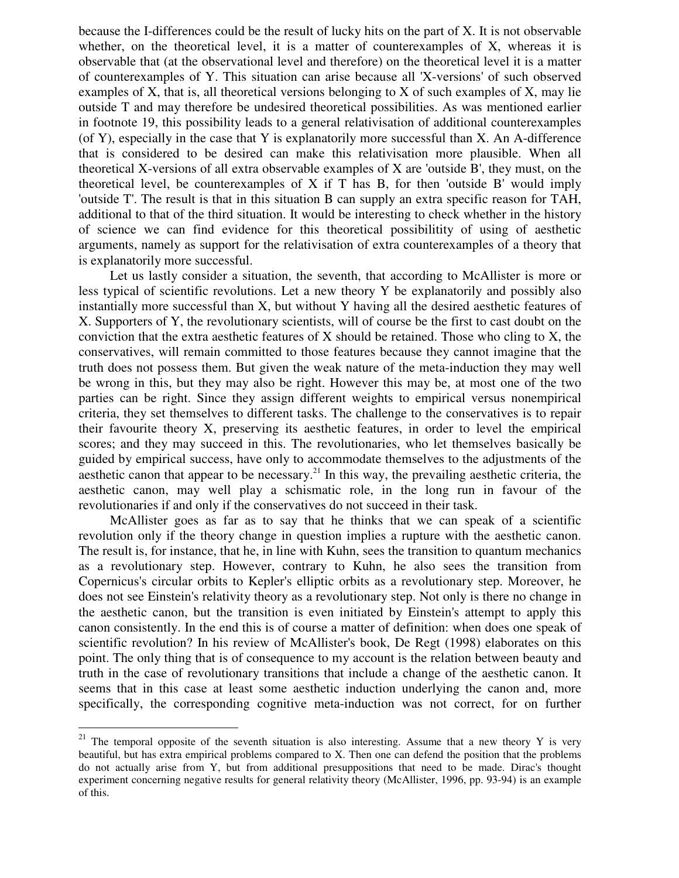because the I-differences could be the result of lucky hits on the part of X. It is not observable whether, on the theoretical level, it is a matter of counterexamples of X, whereas it is observable that (at the observational level and therefore) on the theoretical level it is a matter of counterexamples of Y. This situation can arise because all 'X-versions' of such observed examples of X, that is, all theoretical versions belonging to X of such examples of X, may lie outside T and may therefore be undesired theoretical possibilities. As was mentioned earlier in footnote 19, this possibility leads to a general relativisation of additional counterexamples (of Y), especially in the case that Y is explanatorily more successful than X. An A-difference that is considered to be desired can make this relativisation more plausible. When all theoretical X-versions of all extra observable examples of X are 'outside B', they must, on the theoretical level, be counterexamples of  $X$  if  $T$  has  $B$ , for then 'outside  $B'$  would imply 'outside T'. The result is that in this situation B can supply an extra specific reason for TAH, additional to that of the third situation. It would be interesting to check whether in the history of science we can find evidence for this theoretical possibilitity of using of aesthetic arguments, namely as support for the relativisation of extra counterexamples of a theory that is explanatorily more successful.

Let us lastly consider a situation, the seventh, that according to McAllister is more or less typical of scientific revolutions. Let a new theory Y be explanatorily and possibly also instantially more successful than X, but without Y having all the desired aesthetic features of X. Supporters of Y, the revolutionary scientists, will of course be the first to cast doubt on the conviction that the extra aesthetic features of X should be retained. Those who cling to X, the conservatives, will remain committed to those features because they cannot imagine that the truth does not possess them. But given the weak nature of the meta-induction they may well be wrong in this, but they may also be right. However this may be, at most one of the two parties can be right. Since they assign different weights to empirical versus nonempirical criteria, they set themselves to different tasks. The challenge to the conservatives is to repair their favourite theory X, preserving its aesthetic features, in order to level the empirical scores; and they may succeed in this. The revolutionaries, who let themselves basically be guided by empirical success, have only to accommodate themselves to the adjustments of the aesthetic canon that appear to be necessary.<sup>21</sup> In this way, the prevailing aesthetic criteria, the aesthetic canon, may well play a schismatic role, in the long run in favour of the revolutionaries if and only if the conservatives do not succeed in their task.

McAllister goes as far as to say that he thinks that we can speak of a scientific revolution only if the theory change in question implies a rupture with the aesthetic canon. The result is, for instance, that he, in line with Kuhn, sees the transition to quantum mechanics as a revolutionary step. However, contrary to Kuhn, he also sees the transition from Copernicus's circular orbits to Kepler's elliptic orbits as a revolutionary step. Moreover, he does not see Einstein's relativity theory as a revolutionary step. Not only is there no change in the aesthetic canon, but the transition is even initiated by Einstein's attempt to apply this canon consistently. In the end this is of course a matter of definition: when does one speak of scientific revolution? In his review of McAllister's book, De Regt (1998) elaborates on this point. The only thing that is of consequence to my account is the relation between beauty and truth in the case of revolutionary transitions that include a change of the aesthetic canon. It seems that in this case at least some aesthetic induction underlying the canon and, more specifically, the corresponding cognitive meta-induction was not correct, for on further

<sup>&</sup>lt;sup>21</sup> The temporal opposite of the seventh situation is also interesting. Assume that a new theory Y is very beautiful, but has extra empirical problems compared to X. Then one can defend the position that the problems do not actually arise from Y, but from additional presuppositions that need to be made. Dirac's thought experiment concerning negative results for general relativity theory (McAllister, 1996, pp. 93-94) is an example of this.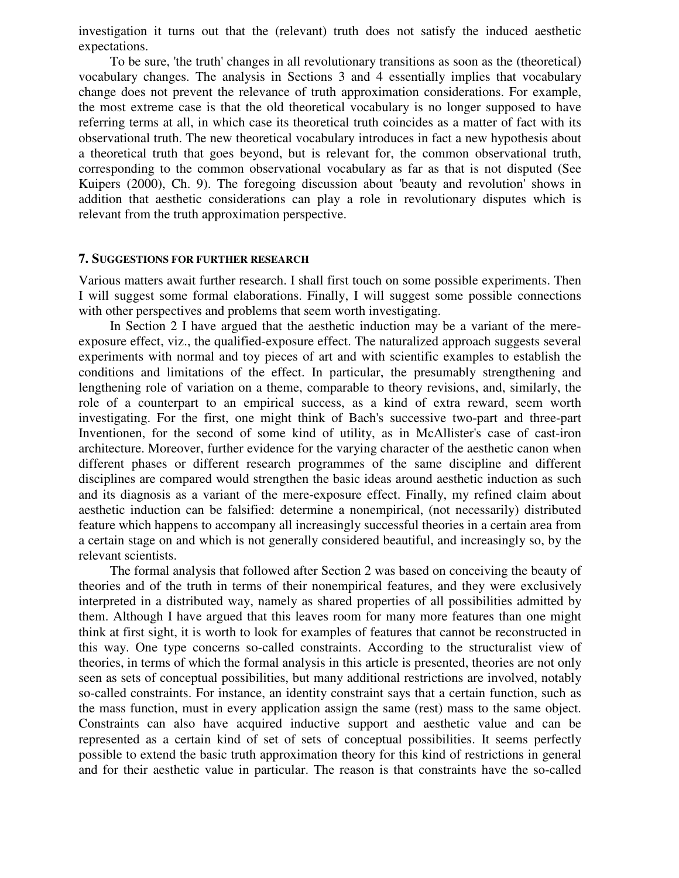investigation it turns out that the (relevant) truth does not satisfy the induced aesthetic expectations.

To be sure, 'the truth' changes in all revolutionary transitions as soon as the (theoretical) vocabulary changes. The analysis in Sections 3 and 4 essentially implies that vocabulary change does not prevent the relevance of truth approximation considerations. For example, the most extreme case is that the old theoretical vocabulary is no longer supposed to have referring terms at all, in which case its theoretical truth coincides as a matter of fact with its observational truth. The new theoretical vocabulary introduces in fact a new hypothesis about a theoretical truth that goes beyond, but is relevant for, the common observational truth, corresponding to the common observational vocabulary as far as that is not disputed (See Kuipers (2000), Ch. 9). The foregoing discussion about 'beauty and revolution' shows in addition that aesthetic considerations can play a role in revolutionary disputes which is relevant from the truth approximation perspective.

# **7. SUGGESTIONS FOR FURTHER RESEARCH**

Various matters await further research. I shall first touch on some possible experiments. Then I will suggest some formal elaborations. Finally, I will suggest some possible connections with other perspectives and problems that seem worth investigating.

In Section 2 I have argued that the aesthetic induction may be a variant of the mereexposure effect, viz., the qualified-exposure effect. The naturalized approach suggests several experiments with normal and toy pieces of art and with scientific examples to establish the conditions and limitations of the effect. In particular, the presumably strengthening and lengthening role of variation on a theme, comparable to theory revisions, and, similarly, the role of a counterpart to an empirical success, as a kind of extra reward, seem worth investigating. For the first, one might think of Bach's successive two-part and three-part Inventionen, for the second of some kind of utility, as in McAllister's case of cast-iron architecture. Moreover, further evidence for the varying character of the aesthetic canon when different phases or different research programmes of the same discipline and different disciplines are compared would strengthen the basic ideas around aesthetic induction as such and its diagnosis as a variant of the mere-exposure effect. Finally, my refined claim about aesthetic induction can be falsified: determine a nonempirical, (not necessarily) distributed feature which happens to accompany all increasingly successful theories in a certain area from a certain stage on and which is not generally considered beautiful, and increasingly so, by the relevant scientists.

The formal analysis that followed after Section 2 was based on conceiving the beauty of theories and of the truth in terms of their nonempirical features, and they were exclusively interpreted in a distributed way, namely as shared properties of all possibilities admitted by them. Although I have argued that this leaves room for many more features than one might think at first sight, it is worth to look for examples of features that cannot be reconstructed in this way. One type concerns so-called constraints. According to the structuralist view of theories, in terms of which the formal analysis in this article is presented, theories are not only seen as sets of conceptual possibilities, but many additional restrictions are involved, notably so-called constraints. For instance, an identity constraint says that a certain function, such as the mass function, must in every application assign the same (rest) mass to the same object. Constraints can also have acquired inductive support and aesthetic value and can be represented as a certain kind of set of sets of conceptual possibilities. It seems perfectly possible to extend the basic truth approximation theory for this kind of restrictions in general and for their aesthetic value in particular. The reason is that constraints have the so-called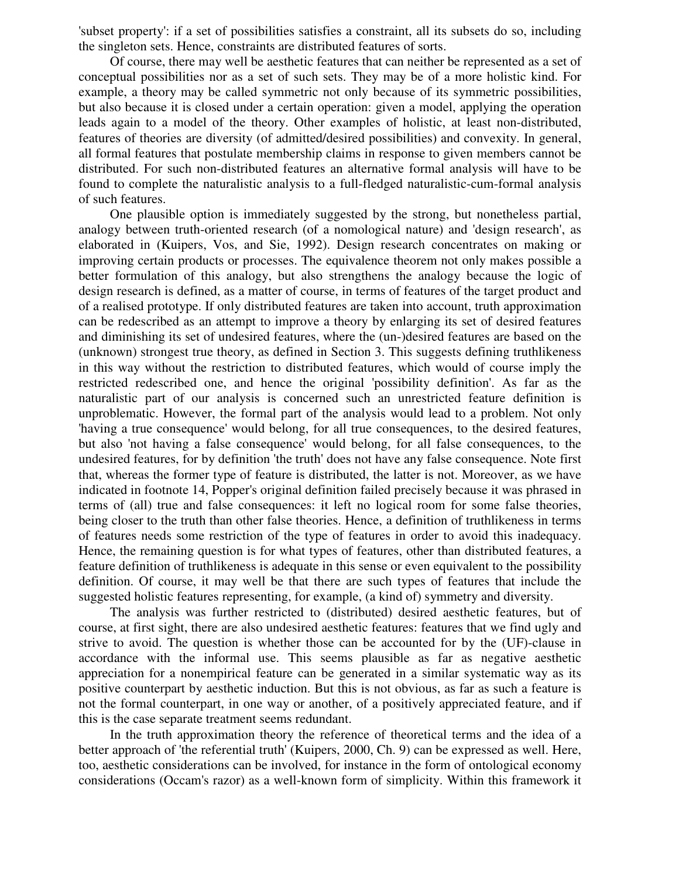'subset property': if a set of possibilities satisfies a constraint, all its subsets do so, including the singleton sets. Hence, constraints are distributed features of sorts.

Of course, there may well be aesthetic features that can neither be represented as a set of conceptual possibilities nor as a set of such sets. They may be of a more holistic kind. For example, a theory may be called symmetric not only because of its symmetric possibilities, but also because it is closed under a certain operation: given a model, applying the operation leads again to a model of the theory. Other examples of holistic, at least non-distributed, features of theories are diversity (of admitted/desired possibilities) and convexity. In general, all formal features that postulate membership claims in response to given members cannot be distributed. For such non-distributed features an alternative formal analysis will have to be found to complete the naturalistic analysis to a full-fledged naturalistic-cum-formal analysis of such features.

One plausible option is immediately suggested by the strong, but nonetheless partial, analogy between truth-oriented research (of a nomological nature) and 'design research', as elaborated in (Kuipers, Vos, and Sie, 1992). Design research concentrates on making or improving certain products or processes. The equivalence theorem not only makes possible a better formulation of this analogy, but also strengthens the analogy because the logic of design research is defined, as a matter of course, in terms of features of the target product and of a realised prototype. If only distributed features are taken into account, truth approximation can be redescribed as an attempt to improve a theory by enlarging its set of desired features and diminishing its set of undesired features, where the (un-)desired features are based on the (unknown) strongest true theory, as defined in Section 3. This suggests defining truthlikeness in this way without the restriction to distributed features, which would of course imply the restricted redescribed one, and hence the original 'possibility definition'. As far as the naturalistic part of our analysis is concerned such an unrestricted feature definition is unproblematic. However, the formal part of the analysis would lead to a problem. Not only 'having a true consequence' would belong, for all true consequences, to the desired features, but also 'not having a false consequence' would belong, for all false consequences, to the undesired features, for by definition 'the truth' does not have any false consequence. Note first that, whereas the former type of feature is distributed, the latter is not. Moreover, as we have indicated in footnote 14, Popper's original definition failed precisely because it was phrased in terms of (all) true and false consequences: it left no logical room for some false theories, being closer to the truth than other false theories. Hence, a definition of truthlikeness in terms of features needs some restriction of the type of features in order to avoid this inadequacy. Hence, the remaining question is for what types of features, other than distributed features, a feature definition of truthlikeness is adequate in this sense or even equivalent to the possibility definition. Of course, it may well be that there are such types of features that include the suggested holistic features representing, for example, (a kind of) symmetry and diversity.

The analysis was further restricted to (distributed) desired aesthetic features, but of course, at first sight, there are also undesired aesthetic features: features that we find ugly and strive to avoid. The question is whether those can be accounted for by the (UF)-clause in accordance with the informal use. This seems plausible as far as negative aesthetic appreciation for a nonempirical feature can be generated in a similar systematic way as its positive counterpart by aesthetic induction. But this is not obvious, as far as such a feature is not the formal counterpart, in one way or another, of a positively appreciated feature, and if this is the case separate treatment seems redundant.

In the truth approximation theory the reference of theoretical terms and the idea of a better approach of 'the referential truth' (Kuipers, 2000, Ch. 9) can be expressed as well. Here, too, aesthetic considerations can be involved, for instance in the form of ontological economy considerations (Occam's razor) as a well-known form of simplicity. Within this framework it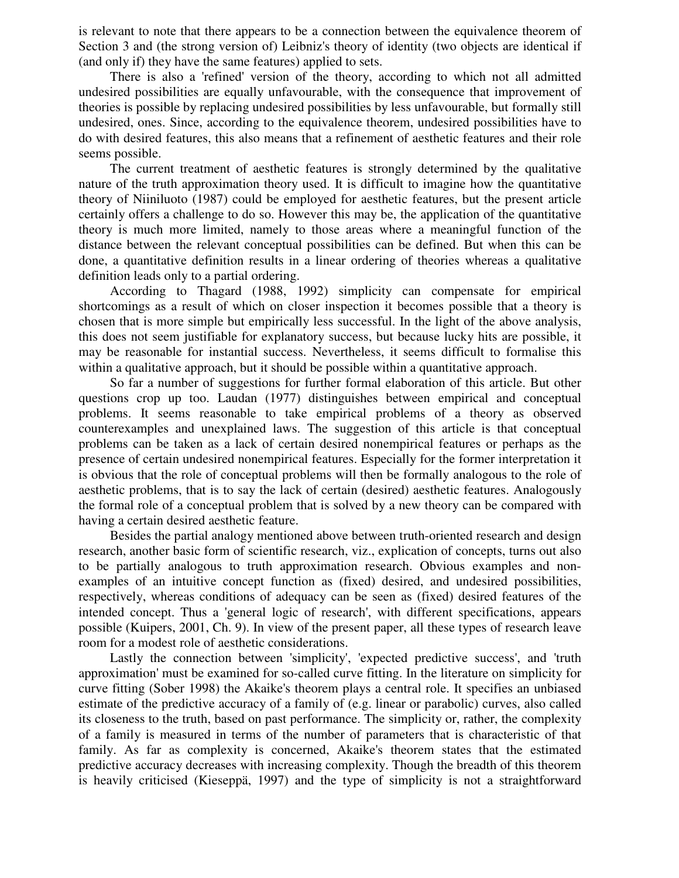is relevant to note that there appears to be a connection between the equivalence theorem of Section 3 and (the strong version of) Leibniz's theory of identity (two objects are identical if (and only if) they have the same features) applied to sets.

There is also a 'refined' version of the theory, according to which not all admitted undesired possibilities are equally unfavourable, with the consequence that improvement of theories is possible by replacing undesired possibilities by less unfavourable, but formally still undesired, ones. Since, according to the equivalence theorem, undesired possibilities have to do with desired features, this also means that a refinement of aesthetic features and their role seems possible.

The current treatment of aesthetic features is strongly determined by the qualitative nature of the truth approximation theory used. It is difficult to imagine how the quantitative theory of Niiniluoto (1987) could be employed for aesthetic features, but the present article certainly offers a challenge to do so. However this may be, the application of the quantitative theory is much more limited, namely to those areas where a meaningful function of the distance between the relevant conceptual possibilities can be defined. But when this can be done, a quantitative definition results in a linear ordering of theories whereas a qualitative definition leads only to a partial ordering.

According to Thagard (1988, 1992) simplicity can compensate for empirical shortcomings as a result of which on closer inspection it becomes possible that a theory is chosen that is more simple but empirically less successful. In the light of the above analysis, this does not seem justifiable for explanatory success, but because lucky hits are possible, it may be reasonable for instantial success. Nevertheless, it seems difficult to formalise this within a qualitative approach, but it should be possible within a quantitative approach.

So far a number of suggestions for further formal elaboration of this article. But other questions crop up too. Laudan (1977) distinguishes between empirical and conceptual problems. It seems reasonable to take empirical problems of a theory as observed counterexamples and unexplained laws. The suggestion of this article is that conceptual problems can be taken as a lack of certain desired nonempirical features or perhaps as the presence of certain undesired nonempirical features. Especially for the former interpretation it is obvious that the role of conceptual problems will then be formally analogous to the role of aesthetic problems, that is to say the lack of certain (desired) aesthetic features. Analogously the formal role of a conceptual problem that is solved by a new theory can be compared with having a certain desired aesthetic feature.

Besides the partial analogy mentioned above between truth-oriented research and design research, another basic form of scientific research, viz., explication of concepts, turns out also to be partially analogous to truth approximation research. Obvious examples and nonexamples of an intuitive concept function as (fixed) desired, and undesired possibilities, respectively, whereas conditions of adequacy can be seen as (fixed) desired features of the intended concept. Thus a 'general logic of research', with different specifications, appears possible (Kuipers, 2001, Ch. 9). In view of the present paper, all these types of research leave room for a modest role of aesthetic considerations.

Lastly the connection between 'simplicity', 'expected predictive success', and 'truth approximation' must be examined for so-called curve fitting. In the literature on simplicity for curve fitting (Sober 1998) the Akaike's theorem plays a central role. It specifies an unbiased estimate of the predictive accuracy of a family of (e.g. linear or parabolic) curves, also called its closeness to the truth, based on past performance. The simplicity or, rather, the complexity of a family is measured in terms of the number of parameters that is characteristic of that family. As far as complexity is concerned, Akaike's theorem states that the estimated predictive accuracy decreases with increasing complexity. Though the breadth of this theorem is heavily criticised (Kieseppä, 1997) and the type of simplicity is not a straightforward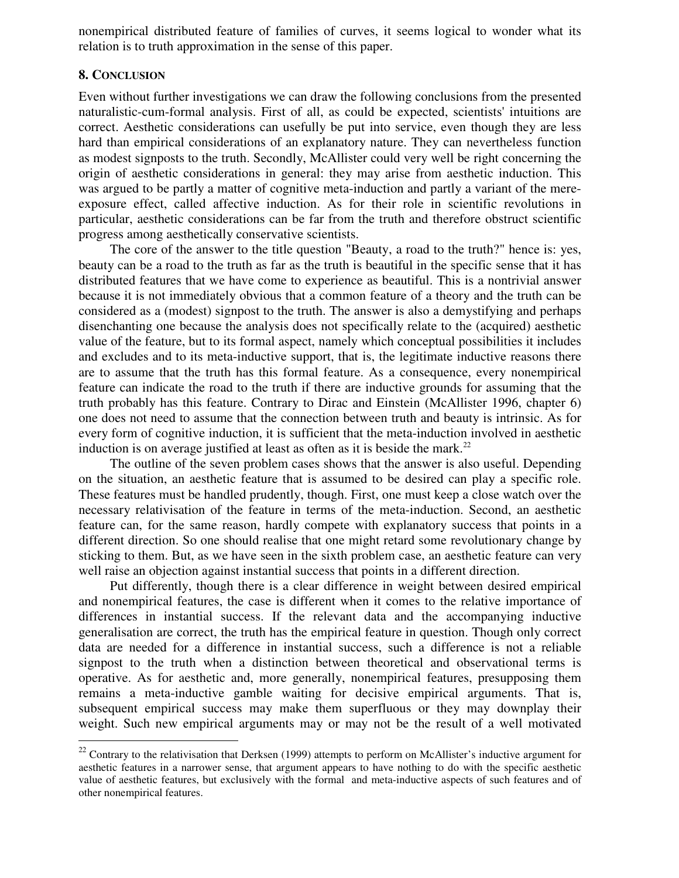nonempirical distributed feature of families of curves, it seems logical to wonder what its relation is to truth approximation in the sense of this paper.

# **8. CONCLUSION**

Even without further investigations we can draw the following conclusions from the presented naturalistic-cum-formal analysis. First of all, as could be expected, scientists' intuitions are correct. Aesthetic considerations can usefully be put into service, even though they are less hard than empirical considerations of an explanatory nature. They can nevertheless function as modest signposts to the truth. Secondly, McAllister could very well be right concerning the origin of aesthetic considerations in general: they may arise from aesthetic induction. This was argued to be partly a matter of cognitive meta-induction and partly a variant of the mereexposure effect, called affective induction. As for their role in scientific revolutions in particular, aesthetic considerations can be far from the truth and therefore obstruct scientific progress among aesthetically conservative scientists.

The core of the answer to the title question "Beauty, a road to the truth?" hence is: yes, beauty can be a road to the truth as far as the truth is beautiful in the specific sense that it has distributed features that we have come to experience as beautiful. This is a nontrivial answer because it is not immediately obvious that a common feature of a theory and the truth can be considered as a (modest) signpost to the truth. The answer is also a demystifying and perhaps disenchanting one because the analysis does not specifically relate to the (acquired) aesthetic value of the feature, but to its formal aspect, namely which conceptual possibilities it includes and excludes and to its meta-inductive support, that is, the legitimate inductive reasons there are to assume that the truth has this formal feature. As a consequence, every nonempirical feature can indicate the road to the truth if there are inductive grounds for assuming that the truth probably has this feature. Contrary to Dirac and Einstein (McAllister 1996, chapter 6) one does not need to assume that the connection between truth and beauty is intrinsic. As for every form of cognitive induction, it is sufficient that the meta-induction involved in aesthetic induction is on average justified at least as often as it is beside the mark.<sup>22</sup>

The outline of the seven problem cases shows that the answer is also useful. Depending on the situation, an aesthetic feature that is assumed to be desired can play a specific role. These features must be handled prudently, though. First, one must keep a close watch over the necessary relativisation of the feature in terms of the meta-induction. Second, an aesthetic feature can, for the same reason, hardly compete with explanatory success that points in a different direction. So one should realise that one might retard some revolutionary change by sticking to them. But, as we have seen in the sixth problem case, an aesthetic feature can very well raise an objection against instantial success that points in a different direction.

Put differently, though there is a clear difference in weight between desired empirical and nonempirical features, the case is different when it comes to the relative importance of differences in instantial success. If the relevant data and the accompanying inductive generalisation are correct, the truth has the empirical feature in question. Though only correct data are needed for a difference in instantial success, such a difference is not a reliable signpost to the truth when a distinction between theoretical and observational terms is operative. As for aesthetic and, more generally, nonempirical features, presupposing them remains a meta-inductive gamble waiting for decisive empirical arguments. That is, subsequent empirical success may make them superfluous or they may downplay their weight. Such new empirical arguments may or may not be the result of a well motivated

 $22$  Contrary to the relativisation that Derksen (1999) attempts to perform on McAllister's inductive argument for aesthetic features in a narrower sense, that argument appears to have nothing to do with the specific aesthetic value of aesthetic features, but exclusively with the formal and meta-inductive aspects of such features and of other nonempirical features.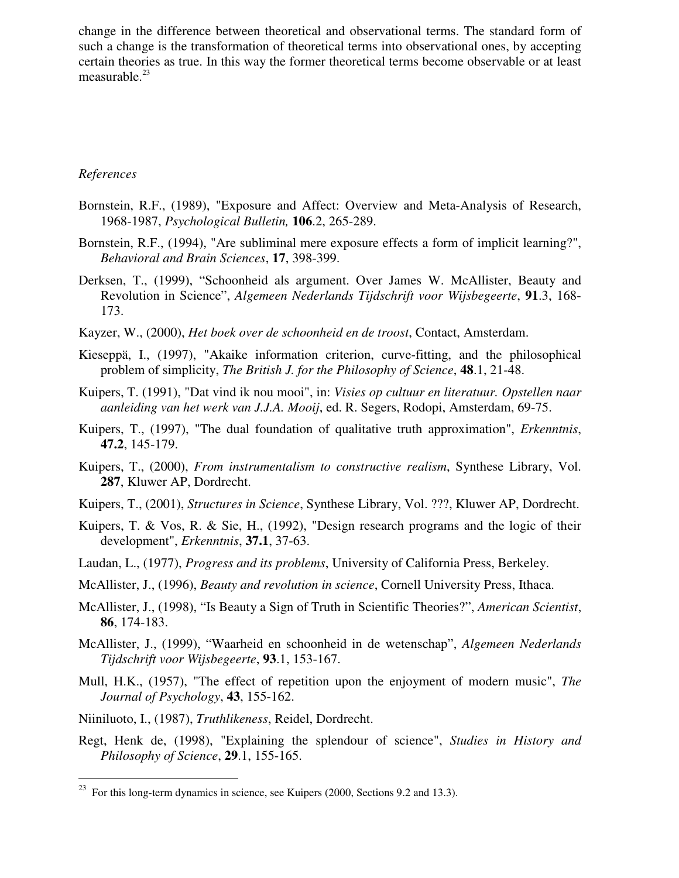change in the difference between theoretical and observational terms. The standard form of such a change is the transformation of theoretical terms into observational ones, by accepting certain theories as true. In this way the former theoretical terms become observable or at least measurable. 23

## *References*

- Bornstein, R.F., (1989), "Exposure and Affect: Overview and Meta-Analysis of Research, 1968-1987, *Psychological Bulletin,* **106**.2, 265-289.
- Bornstein, R.F., (1994), "Are subliminal mere exposure effects a form of implicit learning?", *Behavioral and Brain Sciences*, **17**, 398-399.
- Derksen, T., (1999), "Schoonheid als argument. Over James W. McAllister, Beauty and Revolution in Science", *Algemeen Nederlands Tijdschrift voor Wijsbegeerte*, **91**.3, 168- 173.
- Kayzer, W., (2000), *Het boek over de schoonheid en de troost*, Contact, Amsterdam.
- Kieseppä, I., (1997), "Akaike information criterion, curve-fitting, and the philosophical problem of simplicity, *The British J. for the Philosophy of Science*, **48**.1, 21-48.
- Kuipers, T. (1991), "Dat vind ik nou mooi", in: *Visies op cultuur en literatuur. Opstellen naar aanleiding van het werk van J.J.A. Mooij*, ed. R. Segers, Rodopi, Amsterdam, 69-75.
- Kuipers, T., (1997), "The dual foundation of qualitative truth approximation", *Erkenntnis*, **47.2**, 145-179.
- Kuipers, T., (2000), *From instrumentalism to constructive realism*, Synthese Library, Vol. **287**, Kluwer AP, Dordrecht.
- Kuipers, T., (2001), *Structures in Science*, Synthese Library, Vol. ???, Kluwer AP, Dordrecht.
- Kuipers, T. & Vos, R. & Sie, H., (1992), "Design research programs and the logic of their development", *Erkenntnis*, **37.1**, 37-63.
- Laudan, L., (1977), *Progress and its problems*, University of California Press, Berkeley.
- McAllister, J., (1996), *Beauty and revolution in science*, Cornell University Press, Ithaca.
- McAllister, J., (1998), "Is Beauty a Sign of Truth in Scientific Theories?", *American Scientist*, **86**, 174-183.
- McAllister, J., (1999), "Waarheid en schoonheid in de wetenschap", *Algemeen Nederlands Tijdschrift voor Wijsbegeerte*, **93**.1, 153-167.
- Mull, H.K., (1957), "The effect of repetition upon the enjoyment of modern music", *The Journal of Psychology*, **43**, 155-162.
- Niiniluoto, I., (1987), *Truthlikeness*, Reidel, Dordrecht.
- Regt, Henk de, (1998), "Explaining the splendour of science", *Studies in History and Philosophy of Science*, **29**.1, 155-165.

 $^{23}$  For this long-term dynamics in science, see Kuipers (2000, Sections 9.2 and 13.3).